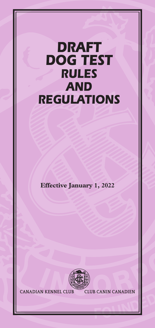# *DRAFT DOG TEST RULES AND REGULATIONS*

**Effective January 1, 2022**



**CANADIAN KENNEL CLUB CLUB CANIN CANADIEN**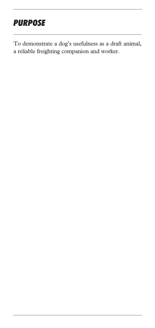## *PURPOSE*

To demonstrate a dog's usefulness as a draft animal, a reliable freighting companion and worker.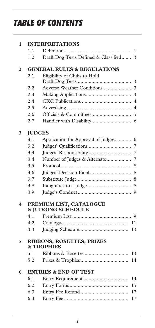## *TABLE OF CONTENTS*

| 1.1<br>1<br>Draft Dog Tests Defined & Classified<br>1.2<br>3<br><b>GENERAL RULES &amp; REGULATIONS</b><br>2<br>Eligibility of Clubs to Hold<br>2.1<br>3<br>2.2<br>2.3<br>3<br>2.4<br>$\overline{4}$<br>2.5<br>$\overline{4}$<br>2.6<br>5<br>2.7<br>6<br>3<br><b>IUDGES</b><br>3.1<br>Application for Approval of Judges<br>6<br>3.2<br>7<br>3.3<br>7<br>Number of Judges & Alternate<br>3.4<br>7<br>3.5<br>8<br>3.6<br>8<br>3.7<br>8<br>3.8<br>8<br>3.9<br>9<br>PREMIUM LIST, CATALOGUE<br>4<br><b>&amp; JUDGING SCHEDULE</b><br>4.1<br>$\mathbf Q$<br>4.2<br>4.3<br>13<br><b>RIBBONS, ROSETTES, PRIZES</b><br>5<br><b>&amp; TROPHIES</b><br>5.1<br>13<br>5.2 | 1 | <b>INTERPRETATIONS</b> |    |  |
|---------------------------------------------------------------------------------------------------------------------------------------------------------------------------------------------------------------------------------------------------------------------------------------------------------------------------------------------------------------------------------------------------------------------------------------------------------------------------------------------------------------------------------------------------------------------------------------------------------------------------------------------------------------|---|------------------------|----|--|
|                                                                                                                                                                                                                                                                                                                                                                                                                                                                                                                                                                                                                                                               |   |                        |    |  |
|                                                                                                                                                                                                                                                                                                                                                                                                                                                                                                                                                                                                                                                               |   |                        |    |  |
|                                                                                                                                                                                                                                                                                                                                                                                                                                                                                                                                                                                                                                                               |   |                        |    |  |
|                                                                                                                                                                                                                                                                                                                                                                                                                                                                                                                                                                                                                                                               |   |                        |    |  |
|                                                                                                                                                                                                                                                                                                                                                                                                                                                                                                                                                                                                                                                               |   |                        |    |  |
|                                                                                                                                                                                                                                                                                                                                                                                                                                                                                                                                                                                                                                                               |   |                        |    |  |
|                                                                                                                                                                                                                                                                                                                                                                                                                                                                                                                                                                                                                                                               |   |                        |    |  |
|                                                                                                                                                                                                                                                                                                                                                                                                                                                                                                                                                                                                                                                               |   |                        |    |  |
|                                                                                                                                                                                                                                                                                                                                                                                                                                                                                                                                                                                                                                                               |   |                        |    |  |
|                                                                                                                                                                                                                                                                                                                                                                                                                                                                                                                                                                                                                                                               |   |                        |    |  |
|                                                                                                                                                                                                                                                                                                                                                                                                                                                                                                                                                                                                                                                               |   |                        |    |  |
|                                                                                                                                                                                                                                                                                                                                                                                                                                                                                                                                                                                                                                                               |   |                        |    |  |
|                                                                                                                                                                                                                                                                                                                                                                                                                                                                                                                                                                                                                                                               |   |                        |    |  |
|                                                                                                                                                                                                                                                                                                                                                                                                                                                                                                                                                                                                                                                               |   |                        |    |  |
|                                                                                                                                                                                                                                                                                                                                                                                                                                                                                                                                                                                                                                                               |   |                        |    |  |
|                                                                                                                                                                                                                                                                                                                                                                                                                                                                                                                                                                                                                                                               |   |                        |    |  |
|                                                                                                                                                                                                                                                                                                                                                                                                                                                                                                                                                                                                                                                               |   |                        |    |  |
|                                                                                                                                                                                                                                                                                                                                                                                                                                                                                                                                                                                                                                                               |   |                        |    |  |
|                                                                                                                                                                                                                                                                                                                                                                                                                                                                                                                                                                                                                                                               |   |                        |    |  |
|                                                                                                                                                                                                                                                                                                                                                                                                                                                                                                                                                                                                                                                               |   |                        |    |  |
|                                                                                                                                                                                                                                                                                                                                                                                                                                                                                                                                                                                                                                                               |   |                        |    |  |
|                                                                                                                                                                                                                                                                                                                                                                                                                                                                                                                                                                                                                                                               |   |                        |    |  |
|                                                                                                                                                                                                                                                                                                                                                                                                                                                                                                                                                                                                                                                               |   |                        |    |  |
|                                                                                                                                                                                                                                                                                                                                                                                                                                                                                                                                                                                                                                                               |   |                        |    |  |
|                                                                                                                                                                                                                                                                                                                                                                                                                                                                                                                                                                                                                                                               |   |                        |    |  |
|                                                                                                                                                                                                                                                                                                                                                                                                                                                                                                                                                                                                                                                               |   |                        |    |  |
|                                                                                                                                                                                                                                                                                                                                                                                                                                                                                                                                                                                                                                                               |   |                        |    |  |
|                                                                                                                                                                                                                                                                                                                                                                                                                                                                                                                                                                                                                                                               |   |                        | 14 |  |
| 6<br><b>ENTRIES &amp; END OF TEST</b>                                                                                                                                                                                                                                                                                                                                                                                                                                                                                                                                                                                                                         |   |                        |    |  |
| 6.1<br>14                                                                                                                                                                                                                                                                                                                                                                                                                                                                                                                                                                                                                                                     |   |                        |    |  |
| 6.2<br>15                                                                                                                                                                                                                                                                                                                                                                                                                                                                                                                                                                                                                                                     |   |                        |    |  |
| 6.3<br>17                                                                                                                                                                                                                                                                                                                                                                                                                                                                                                                                                                                                                                                     |   |                        |    |  |
|                                                                                                                                                                                                                                                                                                                                                                                                                                                                                                                                                                                                                                                               |   | 6.4                    | 17 |  |
|                                                                                                                                                                                                                                                                                                                                                                                                                                                                                                                                                                                                                                                               |   |                        |    |  |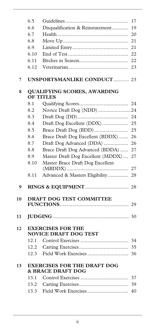|    | 6.5                                                                |                                   | 17 |
|----|--------------------------------------------------------------------|-----------------------------------|----|
|    | 6.6                                                                | Disqualification & Reinstatement  | 19 |
|    | 6.7                                                                |                                   | 20 |
|    | 6.8                                                                |                                   | 21 |
|    | 6.9                                                                |                                   |    |
|    | 6.10                                                               |                                   |    |
|    | 6.11                                                               |                                   |    |
|    | 6.12                                                               |                                   | 23 |
| 7  |                                                                    | <b>UNSPORTSMANLIKE CONDUCT 23</b> |    |
| 8  | <b>QUALIFYING SCORES, AWARDING</b><br><b>OF TITLES</b>             |                                   |    |
|    | 8.1                                                                |                                   |    |
|    | 8.2                                                                | Novice Draft Dog (NDD) 24         |    |
|    | 8.3                                                                |                                   |    |
|    | 8.4                                                                | Draft Dog Excellent (DDX)  25     |    |
|    | 8.5                                                                |                                   |    |
|    | 8.6                                                                | Brace Draft Dog Excellent (BDDX)  | 26 |
|    | 8.7                                                                | Draft Dog Advanced (DDA)          | 26 |
|    | 8.8                                                                | Brace Draft Dog Advanced (BDDA)   | 27 |
|    | 8.9                                                                | Master Draft Dog Excellent (MDDX) | 27 |
|    | 8.10                                                               | Master Brace Draft Dog Excellent  |    |
|    | 8.11                                                               | Advanced & Masters Eligibility 28 |    |
| 9  |                                                                    |                                   |    |
| 10 |                                                                    | <b>DRAFT DOG TEST COMMITTEE</b>   |    |
|    |                                                                    |                                   |    |
| 11 |                                                                    |                                   |    |
| 12 | <b>EXERCISES FOR THE</b><br><b>NOVICE DRAFT DOG TEST</b>           |                                   |    |
|    | 12.1                                                               |                                   |    |
|    | 12.2                                                               |                                   |    |
|    | 12.3                                                               |                                   | 36 |
| 13 | <b>EXERCISES FOR THE DRAFT DOG</b><br><b>&amp; BRACE DRAFT DOG</b> |                                   |    |
|    | 13.1                                                               |                                   |    |
|    | 13.2                                                               |                                   |    |
|    | 13.3                                                               |                                   |    |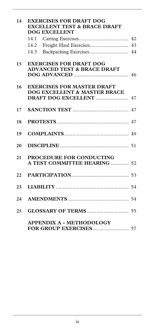| 14 | <b>EXERCISES FOR DRAFT DOG</b><br><b>EXCELLENT TEST &amp; BRACE DRAFT</b><br><b>DOG EXCELLENT</b> |                                                                              |  |
|----|---------------------------------------------------------------------------------------------------|------------------------------------------------------------------------------|--|
|    |                                                                                                   |                                                                              |  |
|    | 14.2                                                                                              |                                                                              |  |
|    | 14.3                                                                                              | Backpacking Exercises  44                                                    |  |
| 15 |                                                                                                   | <b>EXERCISES FOR DRAFT DOG</b><br><b>ADVANCED TEST &amp; BRACE DRAFT</b>     |  |
| 16 |                                                                                                   | <b>EXERCISES FOR MASTER DRAFT</b><br><b>DOG EXCELLENT &amp; MASTER BRACE</b> |  |
| 17 |                                                                                                   |                                                                              |  |
| 18 |                                                                                                   |                                                                              |  |
| 19 |                                                                                                   |                                                                              |  |
| 20 |                                                                                                   |                                                                              |  |
| 21 |                                                                                                   | <b>PROCEDURE FOR CONDUCTING</b><br>A TEST COMMITTEE HEARING 52               |  |
| 22 |                                                                                                   |                                                                              |  |
| 23 |                                                                                                   |                                                                              |  |
| 24 |                                                                                                   |                                                                              |  |
| 25 |                                                                                                   |                                                                              |  |
|    |                                                                                                   | <b>APPENDIX A - METHODOLOGY</b>                                              |  |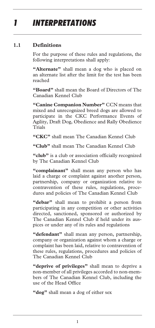## *1 INTERPRETATIONS*

### **1.1 Definitions**

For the purpose of these rules and regulations, the following interpretations shall apply:

**"Alternate"** shall mean a dog who is placed on an alternate list after the limit for the test has been reached

**"Board"** shall mean the Board of Directors of The Canadian Kennel Club

**"Canine Companion Number"** CCN means that mixed and unrecognized breed dogs are allowed to participate in the CKC Performance Events of Agility, Draft Dog, Obedience and Rally Obedience Trials

**"CKC"** shall mean The Canadian Kennel Club

**"Club"** shall mean The Canadian Kennel Club

**"club"** is a club or association officially recognized by The Canadian Kennel Club

**"complainant"** shall mean any person who has laid a charge or complaint against another person, partnership, company or organization relative to contravention of these rules, regulations, procedures and policies of The Canadian Kennel Club

**"debar"** shall mean to prohibit a person from participating in any competition or other activities directed, sanctioned, sponsored or authorized by The Canadian Kennel Club if held under its auspices or under any of its rules and regulations

**"defendant"** shall mean any person, partnership, company or organization against whom a charge or complaint has been laid, relative to contravention of these rules, regulations, procedures and policies of The Canadian Kennel Club

**"deprive of privileges"** shall mean to deprive a non-member of all privileges accorded to non-members of The Canadian Kennel Club, including the use of the Head Office

**"dog"** shall mean a dog of either sex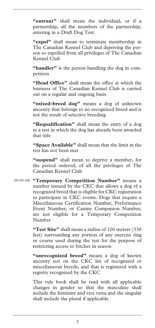**"entrant"** shall mean the individual, or if a partnership, all the members of the partnership, entering in a Draft Dog Test

**"expel"** shall mean to terminate membership in The Canadian Kennel Club and depriving the person so expelled from all privileges of The Canadian Kennel Club

**"handler"** is the person handling the dog in competition

**"Head Office"** shall mean the office at which the business of The Canadian Kennel Club is carried out on a regular and ongoing basis

"mixed-breed dog" means a dog of unknown ancestry that belongs to no recognized breed and is not the result of selective breeding

**"Requalification"** shall mean the entry of a dog in a test in which the dog has already been awarded that title

**"Space Available"** shall mean that the limit in the test has not been met

**"suspend"** shall mean to deprive a member, for the period ordered, of all the privileges of The Canadian Kennel Club

**"Temporary Competition Number"** means a *(01-05-18)* number isssued by the CKC that allows a dog of a recognized breed that is eligible for CKC registration to participate in CKC events. Dogs that require a Miscellaneous Certification Number, Performance Event Number, or Canine Companion Number, are not eligible for a Temporary Competition Number

> **"Test Site"** shall mean a radius of 100 meters (330 feet) surrounding any portion of any exercise ring or course used during the test for the purpose of restricting access to bitches in season

> **"unrecognized breed"** means a dog of known ancestry not on the CKC list of recognized or miscellaneous breeds, and that is registered with a registry recognized by the CKC

> This rule book shall be read with all applicable changes in gender so that the masculine shall include the feminine and vice versa and the singular shall include the plural if applicable.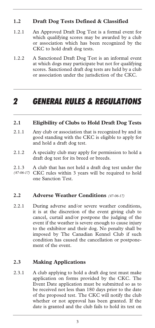### **1.2 Draft Dog Tests Defined & Classified**

- 1.2.1 An Approved Draft Dog Test is a formal event for which qualifying scores may be awarded by a club or association which has been recognized by the CKC to hold draft dog tests.
- 1.2.2 A Sanctioned Draft Dog Test is an informal event at which dogs may participate but not for qualifying scores. Sanctioned draft dog tests are held by a club or association under the jurisdiction of the CKC.

### *2 GENERAL RULES & REGULATIONS*

### **2.1 Eligibility of Clubs to Hold Draft Dog Tests**

- 2.1.1 Any club or association that is recognized by and in good standing with the CKC is eligible to apply for and hold a draft dog test.
- 2.1.2 A specialty club may apply for permission to hold a draft dog test for its breed or breeds.
- 2.1.3 A club that has not held a draft dog test under the CKC rules within 3 years will be required to hold one Sanction Test. *(47-06-17)*

### **2.2 Adverse Weather Conditions** *(47-06-17)*

2.2.1 During adverse and/or severe weather conditions, it is at the discretion of the event giving club to cancel, curtail and/or postpone the judging of the event if the weather is severe enough to cause injury to the exhibitor and their dog. No penalty shall be imposed by The Canadian Kennel Club if such condition has caused the cancellation or postponement of the event.

### **2.3 Making Applications**

2.3.1 A club applying to hold a draft dog test must make application on forms provided by the CKC. The Event Date application must be submitted so as to be received not less than 180 days prior to the date of the proposed test. The CKC will notify the club whether or not approval has been granted. If the date is granted and the club fails to hold its test on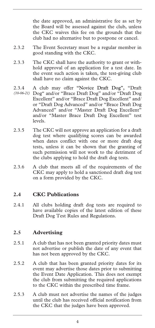the date approved, an administrative fee as set by the Board will be assessed against the club, unless the CKC waives this fee on the grounds that the club had no alternative but to postpone or cancel.

- 2.3.2 The Event Secretary must be a regular member in good standing with the CKC.
- 2.3.3 The CKC shall have the authority to grant or withhold approval of an application for a test date. In the event such action is taken, the test-giving club shall have no claim against the CKC.
- 2.3.4 A club may offer "Novice Draft Dog", "Draft Dog" and/or "Brace Draft Dog" and/or "Draft Dog *(10-06-21)*Excellent" and/or "Brace Draft Dog Excellent" and/ or "Draft Dog Advanced" and/or "Brace Draft Dog Advanced" and/or "Master Draft Dog Excellent" and/or "Master Brace Draft Dog Excellent" test levels.
- 2.3.5 The CKC will not approve an application for a draft dog test where qualifying scores can be awarded when dates conflict with one or more draft dog tests, unless it can be shown that the granting of such permission will not work to the detriment of the clubs applying to hold the draft dog tests.
- 2.3.6 A club that meets all of the requirements of the CKC may apply to hold a sanctioned draft dog test on a form provided by the CKC.

### **2.4 CKC Publications**

2.4.1 All clubs holding draft dog tests are required to have available copies of the latest edition of these Draft Dog Test Rules and Regulations.

### **2.5 Advertising**

- 2.5.1 A club that has not been granted priority dates must not advertise or publish the date of any event that has not been approved by the CKC.
- 2.5.2 A club that has been granted priority dates for its event may advertise those dates prior to submitting the Event Date Application. This does not exempt the club from submitting the required applications to the CKC within the prescribed time frame.
- 2.5.3 A club must not advertise the names of the judges until the club has received official notification from the CKC that the judges have been approved.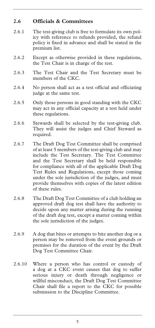### **2.6 Officials & Committees**

- 2.6.1 The test-giving club is free to formulate its own policy with reference to refunds provided, the refund policy is fixed in advance and shall be stated in the premium list.
- 2.6.2 Except as otherwise provided in these regulations, the Test Chair is in charge of the test.
- 2.6.3 The Test Chair and the Test Secretary must be members of the CKC.
- 2.6.4 No person shall act as a test official and officiating judge at the same test.
- 2.6.5 Only those persons in good standing with the CKC may act in any official capacity at a test held under these regulations.
- 2.6.6 Stewards shall be selected by the test-giving club. They will assist the judges and Chief Steward as required.
- 2.6.7 The Draft Dog Test Committee shall be comprised of at least 5 members of the test-giving club and may include the Test Secretary. The Test Committee and the Test Secretary shall be held responsible for compliance with all of the applicable Draft Dog Test Rules and Regulations, except those coming under the sole jurisdiction of the judges, and must provide themselves with copies of the latest edition of these rules.
- 2.6.8 The Draft Dog Test Committee of a club holding an approved draft dog test shall have the authority to decide upon any matter arising during the running of the draft dog test, except a matter coming within the sole jurisdiction of the judges.
- 2.6.9 A dog that bites or attempts to bite another dog or a person may be removed from the event grounds or premises for the duration of the event by the Draft Dog Test Committee Chair.
- 2.6.10 Where a person who has control or custody of a dog at a CKC event causes that dog to suffer serious injury or death through negligence or willful misconduct, the Draft Dog Test Committee Chair shall file a report to the CKC for possible submission to the Discipline Committee.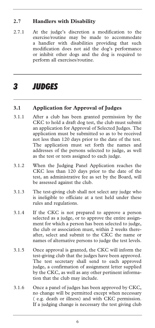### **2.7 Handlers with Disability**

2.7.1 At the judge's discretion a modification to the exercise/routine may be made to accommodate a handler with disabilities providing that such modification does not aid the dog's performance or inhibit other dogs and the dog is required to perform all exercises/routine.

## *3 JUDGES*

### **3.1 Application for Approval of Judges**

- 3.1.1 After a club has been granted permission by the CKC to hold a draft dog test, the club must submit an application for Approval of Selected Judges. The application must be submitted so as to be received not less than 120 days prior to the date of the test. The application must set forth the names and addresses of the persons selected to judge, as well as the test or tests assigned to each judge.
- 3.1.2 When the Judging Panel Application reaches the CKC less than 120 days prior to the date of the test, an administrative fee as set by the Board, will be assessed against the club.
- 3.1.3 The test-giving club shall not select any judge who is ineligible to officiate at a test held under these rules and regulations.
- 3.1.4 If the CKC is not prepared to approve a person selected as a judge, or to approve the entire assignment for which a person has been selected to judge, the club or association must, within 2 weeks thereafter, select and submit to the CKC the name or names of alternative persons to judge the test levels.
- 3.1.5 Once approval is granted, the CKC will inform the test-giving club that the judges have been approved. The test secretary shall send to each approved judge, a confirmation of assignment letter supplied by the CKC, as well as any other pertinent information that the club may include.
- 3.1.6 Once a panel of judges has been approved by CKC, no change will be permitted except when necessary ( e.g. death or illness) and with CKC permission. If a judging change is necessary the test giving club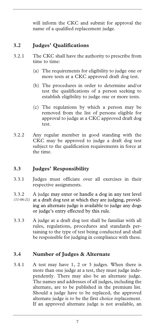will inform the CKC and submit for approval the name of a qualified replacement judge.

### **3.2 Judges' Qualifications**

- 3.2.1 The CKC shall have the authority to prescribe from time to time:
	- (a) The requirements for eligibility to judge one or more tests at a CKC approved draft dog test.
	- (b) The procedures in order to determine and/or test the qualifications of a person seeking to establish eligibility to judge one or more tests.
	- (c) The regulations by which a person may be removed from the list of persons eligible for approval to judge at a CKC approved draft dog test.
- 3.2.2 Any regular member in good standing with the CKC may be approved to judge a draft dog test subject to the qualification requirements in force at the time.

### **3.3 Judges' Responsibility**

- 3.3.1 Judges must officiate over all exercises in their respective assignments.
- 3.3.2 A judge may enter or handle a dog in any test level
- at a draft dog test at which they are judging, providing an alternate judge is available to judge any dogs or judge's entry effected by this rule. *(11-06-21)*
- 3.3.3 A judge at a draft dog test shall be familiar with all rules, regulations, procedures and standards pertaining to the type of test being conducted and shall be responsible for judging in compliance with these.

### **3.4 Number of Judges & Alternate**

3.4.1 A test may have 1, 2 or 3 judges. When there is more than one judge at a test, they must judge independently. There may also be an alternate judge. The names and addresses of all judges, including the alternate, are to be published in the premium list. Should a judge have to be replaced, the approved alternate judge is to be the first choice replacement. If an approved alternate judge is not available, an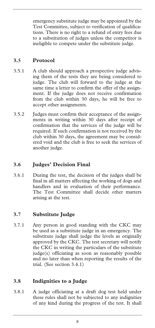emergency substitute judge may be appointed by the Test Committee, subject to verification of qualifications. There is no right to a refund of entry fees due to a substitution of judges unless the competitor is ineligible to compete under the substitute judge.

### **3.5 Protocol**

- 3.5.1 A club should approach a prospective judge advising them of the tests they are being considered to judge. The club will forward to the judge at the same time a letter to confirm the offer of the assignment. If the judge does not receive confirmation from the club within 30 days, he will be free to accept other assignments.
- 3.5.2 Judges must confirm their acceptance of the assignments in writing within 30 days after receipt of confirmation that the services of the judge will be required. If such confirmation is not received by the club within 30 days, the agreement may be considered void and the club is free to seek the services of another judge.

### **3.6 Judges' Decision Final**

3.6.1 During the test, the decision of the judges shall be final in all matters affecting the working of dogs and handlers and in evaluation of their performance. The Test Committee shall decide other matters arising at the test.

### **3.7 Substitute Judge**

3.7.1 Any person in good standing with the CKC may be used as a substitute judge in an emergency. The substitute judge shall judge the levels as originally approved by the CKC. The test secretary will notify the CKC in writing the particulars of the substitute judge(s) officiating as soon as reasonably possible and no later than when reporting the results of the trial. (See section 3.4.1)

### **3.8 Indignities to a Judge**

3.8.1 A judge officiating at a draft dog test held under these rules shall not be subjected to any indignities of any kind during the progress of the test. It shall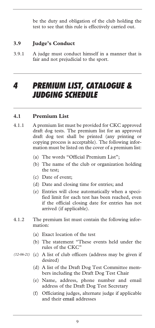be the duty and obligation of the club holding the test to see that this rule is effectively carried out.

### **3.9 Judge's Conduct**

3.9.1 A judge must conduct himself in a manner that is fair and not prejudicial to the sport.

### *4 PREMIUM LIST, CATALOGUE & JUDGING SCHEDULE*

### **4.1 Premium List**

- 4.1.1 A premium list must be provided for CKC approved draft dog tests. The premium list for an approved draft dog test shall be printed (any printing or copying process is acceptable). The following information must be listed on the cover of a premium list:
	- (a) The words "Official Premium List";
	- (b) The name of the club or organization holding the test;
	- (c) Date of event;
	- (d) Date and closing time for entries; and
	- (e) Entries will close automatically when a specified limit for each test has been reached, even if the official closing date for entries has not arrived (if applicable).
- 4.1.2 The premium list must contain the following information:
	- (a) Exact location of the test
	- (b) The statement "These events held under the rules of the CKC"
- (12-06-21) (c) A list of club officers (address may be given if desired)
	- (d) A list of the Draft Dog Test Committee members including the Draft Dog Test Chair
	- (e) Name, address, phone number and email address of the Draft Dog Test Secretary
	- (f) Officiating judges, alternate judge if applicable and their email addresses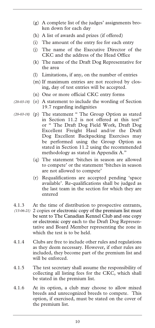- (g) A complete list of the judges' assignments broken down for each day
- (h) A list of awards and prizes (if offered)
- (i) The amount of the entry fee for each entry
- (j) The name of the Executive Director of the CKC and the address of the Head Office
- (k) The name of the Draft Dog Representative for the area
- (l) Limitations, if any, on the number of entries
- (m) If maximum entries are not received by closing, day of test entries will be accepted.
- (n) One or more official CKC entry forms
- (20-03-18) (o) A statement to include the wording of Section 19.7 regarding indignities
- (20-03-18) (p) The statement " The Group Option as stated in Section 11.2 is not offered at this test" or " The Draft Dog Field Work, Draft Dog Excellent Freight Haul and/or the Draft Dog Excellent Backpacking Exercises may be performed using the Group Option as stated in Section 11.2 using the recommended methodology as stated in Appendix A."
	- (q) The statement 'bitches in season are allowed to compete' or the statement 'bitches in season are not allowed to compete'
	- (r) Requalifications are accepted pending 'space available'. Re-qualifications shall be judged as the last team in the section for which they are entered
- 4.1.3 At the time of distribution to prospective entrants,
- 2 copies or electronic copy of the premium list must *(13-06-21)*  be sent to The Canadian Kennel Club and one copy or electronic copy each to the Draft Dog Representative and Board Member representing the zone in which the test is to be held.
- 4.1.4 Clubs are free to include other rules and regulations as they deem necessary. However, if other rules are included, they become part of the premium list and will be enforced.
- 4.1.5 The test secretary shall assume the responsibility of collecting all listing fees for the CKC, which shall be stated in the premium list.
- 4.1.6 At its option, a club may choose to allow mixed breeds and unrecognized breeds to compete. This option, if exercised, must be stated on the cover of the premium list.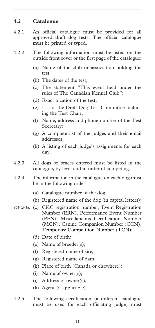### **4.2 Catalogue**

- 4.2.1 An official catalogue must be provided for all approved draft dog tests. The official catalogue must be printed or typed.
- 4.2.2 The following information must be listed on the outside front cover or the first page of the catalogue:
	- (a) Name of the club or association holding the test
	- (b) The dates of the test;
	- (c) The statement "This event held under the rules of The Canadian Kennel Club";
	- (d) Exact location of the test;
	- (e) List of the Draft Dog Test Committee including the Test Chair;
	- (f) Name, address and phone number of the Test Secretary;
	- (g) A complete list of the judges and their email addresses;
	- (h) A listing of each judge's assignments for each day.
- 4.2.3 All dogs or braces entered must be listed in the catalogue, by level and in order of competing.
- 4.2.4 The information in the catalogue on each dog must be in the following order:
	- (a) Catalogue number of the dog;
	- (b) Registered name of the dog (in capital letters);
- (c) CKC registration number, Event Registration *(01-05-18)* Number (ERN), Performance Event Number (PEN), Miscellaneous Certification Number (MCN), Canine Companion Number (CCN), Temporary Competition Number (TCN);
	- (d) Date of birth;
	- (e) Name of breeder(s);
	- (f) Registered name of sire;
	- (g) Registered name of dam;
	- (h) Place of birth (Canada or elsewhere);
	- (i) Name of owner(s);
	- (j) Address of owner(s);
	- (k) Agent (if applicable).
- 4.2.5 The following certification (a different catalogue must be used for each officiating judge) must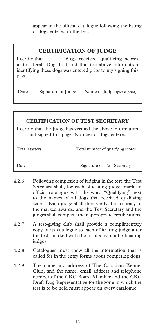appear in the official catalogue following the listing of dogs entered in the test:

### **CERTIFICATION OF JUDGE**

I certify that \_\_\_\_\_\_\_\_ dogs received qualifying scores in this Draft Dog Test and that the above information identifying these dogs was entered prior to my signing this page.

Date Signature of Judge Name of Judge (please print)

### **CERTIFICATION OF TEST SECRETARY**

I certify that the Judge has verified the above information and signed this page. Number of dogs entered

| Total starters | Total number of qualifying scores |
|----------------|-----------------------------------|
|                |                                   |
| Date           | Signature of Test Secretary       |

- 4.2.6 Following completion of judging in the test, the Test Secretary shall, for each officiating judge, mark an official catalogue with the word "Qualifying" next to the names of all dogs that received qualifying scores. Each judge shall then verify the accuracy of the marked awards, and the Test Secretary and the judges shall complete their appropriate certifications.
- 4.2.7 A test-giving club shall provide a complimentary copy of its catalogue to each officiating judge after the test, marked with the results from all officiating judges.
- 4.2.8 Catalogues must show all the information that is called for in the entry forms about competing dogs.
- 4.2.9 The name and address of The Canadian Kennel Club, and the name, email address and telephone number of the CKC Board Member and the CKC Draft Dog Representative for the zone in which the test is to be held must appear on every catalogue.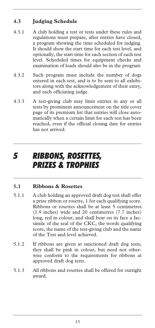### **4.3 Judging Schedule**

- 4.3.1 A club holding a test or tests under these rules and regulations must prepare, after entries have closed, a program showing the time scheduled for judging. It should show the start time for each test level, and optionally, the start time for each section of each test level. Scheduled times for equipment checks and examination of loads should also be in the program.
- 4.3.2 Such program must include the number of dogs entered in each test, and is to be sent to all exhibitors along with the acknowledgement of their entry, and each officiating judge.
- 4.3.3 A test-giving club may limit entries in any or all tests by prominent announcement on the title cover page of its premium list that entries will close automatically when a certain limit for each test has been reached, even if the official closing date for entries has not arrived.

## *5 RIBBONS, ROSETTES, PRIZES & TROPHIES*

### **5.1 Ribbons & Rosettes**

- 5.1.1 A club holding an approved draft dog test shall offer a prize ribbon or rosette, 1 for each qualifying score. Ribbons or rosettes shall be at least 5 centimetres (1.9 inches) wide and 20 centimetres (7.7 inches) long, red in colour, and shall bear on its face a facsimile of the seal of the CKC, the words qualifying score, the name of the test-giving club and the name of the Test and level achieved.
- 5.1.2 If ribbons are given at sanctioned draft dog tests, they shall be pink in colour, but need not otherwise conform to the requirements for ribbons at approved draft dog tests.
- 5.1.3 All ribbons and rosettes shall be offered for outright award.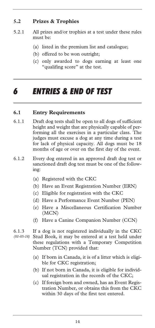### **5.2 Prizes & Trophies**

- 5.2.1 All prizes and/or trophies at a test under these rules must be:
	- (a) listed in the premium list and catalogue;
	- (b) offered to be won outright;
	- (c) only awarded to dogs earning at least one "qualifing score" at the test.

## *6 ENTRIES & END OF TEST*

### **6.1 Entry Requirements**

- 6.1.1 Draft dog tests shall be open to all dogs of sufficient height and weight that are physically capable of performing all the exercises in a particular class. The judges must excuse a dog at any time during a test for lack of physical capacity. All dogs must be 18 months of age or over on the first day of the event.
- 6.1.2 Every dog entered in an approved draft dog test or sanctioned draft dog test must be one of the following:
	- (a) Registered with the CKC
	- (b) Have an Event Registration Number (ERN)
	- (c) Eligible for registration with the CKC
	- (d) Have a Performance Event Number (PEN)
	- (e) Have a Miscellaneous Certification Number (MCN)
	- (f) Have a Canine Companion Number (CCN)
- 6.1.3 If a dog is not registered individually in the CKC Stud Book, it may be entered at a test held under these regulations with a Temporary Competition Number (TCN) provided that: *(01-05-18)* 
	- (a) If born in Canada, it is of a litter which is eligible for CKC registration;
	- (b) If not born in Canada, it is eligible for individual registration in the records of the CKC;
	- (c) If foreign born and owned, has an Event Registration Number, or obtains this from the CKC within 30 days of the first test entered.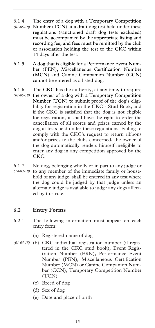- 6.1.4 The entry of a dog with a Temporary Competition Number (TCN) at a draft dog test held under these *(01-05-18)*  regulations (sanctioned draft dog tests excluded) must be accompanied by the appropriate listing and recording fee, and fees must be remitted by the club or association holding the test to the CKC within 14 days after the test.
- 6.1.5 A dog that is eligible for a Performance Event Number (PEN), Miscellaneous Certification Number (MCN) and Canine Companion Number (CCN) cannot be entered as a listed dog.
- 6.1.6 The CKC has the authority, at any time, to require
- (01-05-18) the owner of a dog with a Temporary Competition Number (TCN) to submit proof of the dog's eligibility for registration in the CKC's Stud Book, and if the CKC is satisfied that the dog is not eligible for registration, it shall have the right to order the cancellation of all scores and prizes earned by the dog at tests held under these regulations. Failing to comply with the CKC's request to return ribbons and/or prizes to the clubs concerned, the owner of the dog automatically renders himself ineligible to enter any dog in any competition approved by the CKC.
- 6.1.7 No dog, belonging wholly or in part to any judge or to any member of the immediate family or household of any judge, shall be entered in any test where the dog could be judged by that judge unless an alternate judge is available to judge any dogs affected by this rule. *(14-03-18)*

### **6.2 Entry Forms**

- 6.2.1 The following information must appear on each entry form:
	- (a) Registered name of dog
- (b) CKC individual registration number (if regis-*(01-05-18)* tered in the CKC stud book), Event Registration Number (ERN), Performance Event Number (PEN), Miscellaneous Certification Number (MCN) or Canine Companion Number (CCN), Temporary Competition Number (TCN)
	- (c) Breed of dog
	- (d) Sex of dog
	- (e) Date and place of birth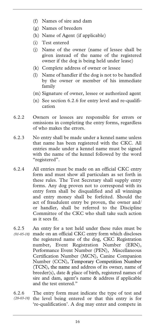- (f) Names of sire and dam
- (g) Names of breeders
- (h) Name of Agent (if applicable)
- (i) Test entered
- (j) Name of the owner (name of lessee shall be given instead of the name of the registered owner if the dog is being held under lease)
- (k) Complete address of owner or lessee
- (l) Name of handler if the dog is not to be handled by the owner or member of his immediate family
- (m) Signature of owner, lessee or authorized agent
- (n) See section 6.2.6 for entry level and re-qualification
- 6.2.2 Owners or lessees are responsible for errors or omissions in completing the entry forms, regardless of who makes the errors.
- 6.2.3 No entry shall be made under a kennel name unless that name has been registered with the CKC. All entries made under a kennel name must be signed with the name of the kennel followed by the word "registered".
- 6.2.4 All entries must be made on an official CKC entry form and must show all particulars as set forth in these rules. The Test Secretary shall supply entry forms. Any dog proven not to correspond with its entry form shall be disqualified and all winnings and entry money shall be forfeited. Should the act of fraudulent entry be proven, the owner and/ or handler, shall be referred to the Discipline Committee of the CKC who shall take such action as it sees fit.
- 6.2.5 An entry for a test held under these rules must be made on an official CKC entry form which discloses *(01-05-18)*  the registered name of the dog, CKC Registration number, Event Registration Number (ERN), Performance Event Number (PEN), Miscellaneous Certification Number (MCN), Canine Companion Number (CCN), Temporary Competition Number (TCN), the name and address of its owner, name of breeder(s), date & place of birth, registered names of sire and dam, agent's name & address if applicable and the test entered."
- 6.2.6 The entry form must indicate the type of test and (20-03-18) the level being entered or that this entry is for 're-qualification'. A dog may enter and compete in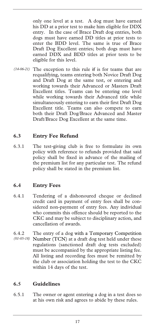only one level at a test. A dog must have earned his DD at a prior test to make him eligible for DDX entry. In the case of Brace Draft dog entries, both dogs must have earned DD titles at prior tests to enter the BDD level. The same is true of Brace Draft Dog Excellent entries; both dogs must have earned DDX and BDD titles at prior tests to be eligible for this level.

 $(14-06-21)$  The exception to this rule if is for teams that are requalifying, teams entering both Novice Draft Dog and Draft Dog at the same test, or entering and working towards their Advanced or Masters Draft Excellent titles. Teams can be entering one level while working towards their Advanced title while simultaneously entering to earn their first Draft Dog Excellent title. Teams can also compete to earn both their Draft Dog/Brace Advanced and Master Draft/Brace Dog Excellent at the same time.

### **6.3 Entry Fee Refund**

6.3.1 The test-giving club is free to formulate its own policy with reference to refunds provided that said policy shall be fixed in advance of the mailing of the premium list for any particular test. The refund policy shall be stated in the premium list.

### **6.4 Entry Fees**

- 6.4.1 Tendering of a dishonoured cheque or declined credit card in payment of entry fees shall be considered non-payment of entry fees. Any individual who commits this offence should be reported to the CKC and may be subject to disciplinary action, and cancellation of awards.
- 6.4.2 The entry of a dog with a Temporary Competition Number (TCN) at a draft dog test held under these *(01-05-18)* regulations (sanctioned draft dog tests excluded) must be accompanied by the appropriate listing fee. All listing and recording fees must be remitted by the club or association holding the test to the CKC within 14 days of the test.

### **6.5 Guidelines**

6.5.1 The owner or agent entering a dog in a test does so at his own risk and agrees to abide by these rules.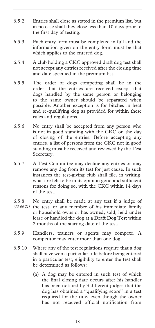- 6.5.2 Entries shall close as stated in the premium list, but in no case shall they close less than 10 days prior to the first day of testing.
- 6.5.3 Each entry form must be completed in full and the information given on the entry form must be that which applies to the entered dog.
- 6.5.4 A club holding a CKC approved draft dog test shall not accept any entries received after the closing time and date specified in the premium list.
- 6.5.5 The order of dogs competing shall be in the order that the entries are received except that dogs handled by the same person or belonging to the same owner should be separated when possible. Another exception is for bitches in heat and re-qualifying dog as provided for within these rules and regulations.
- 6.5.6 No entry shall be accepted from any person who is not in good standing with the CKC on the day of closing of the entries. Before accepting any entries, a list of persons from the CKC not in good standing must be received and reviewed by the Test Secretary.
- 6.5.7 A Test Committee may decline any entries or may remove any dog from its test for just cause. In such instances the test-giving club shall file, in writing, what are felt to be in its opinion good and sufficient reasons for doing so, with the CKC within 14 days of the test.
- 6.5.8 No entry shall be made at any test if a judge of (15-06-21) the test, or any member of his immediate family or household owns or has owned, sold, held under lease or handled the dog at a Draft Dog Test within 2 months of the starting date of the test.
- 6.5.9 Handlers, trainers or agents may compete. A competitor may enter more than one dog.
- 6.5.10 Where any of the test regulations require that a dog shall have won a particular title before being entered in a particular test, eligibility to enter the test shall be determined as follows:
	- (a) A dog may be entered in such test of which the final closing date occurs after his handler has been notified by 3 different judges that the dog has obtained a "qualifying score" in a test required for the title, even though the owner has not received official notification from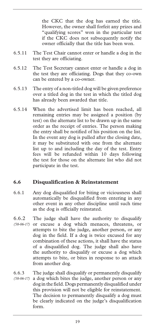the CKC that the dog has earned the title. However, the owner shall forfeit any prizes and "qualifying scores" won in the particular test if the CKC does not subsequently notify the owner officially that the title has been won.

- 6.5.11 The Test Chair cannot enter or handle a dog in the test they are officiating.
- 6.5.12 The Test Secretary cannot enter or handle a dog in the test they are officiating. Dogs that they co-own can be entered by a co-owner.
- 6.5.13 The entry of a non-titled dog will be given preference over a titled dog in the test in which the titled dog has already been awarded that title.
- 6.5.14 When the advertised limit has been reached, all remaining entries may be assigned a position (by test) on the alternate list to be drawn up in the same order as the receipt of entries. The person making the entry shall be notified of his position on the list. In the event any dog is pulled after the closing date, it may be substituted with one from the alternate list up to and including the day of the test. Entry fees will be refunded within 10 days following the test for those on the alternate list who did not participate in the test.

### **6.6 Disqualification & Reinstatement**

- 6.6.1 Any dog disqualified for biting or viciousness shall automatically be disqualified from entering in any other event in any other discipline until such time as the dog is officially reinstated.
- 6.6.2 The judge shall have the authority to disqualify (58-06-17) or excuse a dog which menaces, threatens, or attempts to bite the judge, another person, or any dog in the field. If a dog is twice excused for any combination of these actions, it shall have the status of a disqualified dog. The judge shall also have the authority to disqualify or excuse a dog which attempts to bite, or bites in response to an attack from another dog.
- 6.6.3 The judge shall disqualify or permanently disqualify a dog which bites the judge, another person or any dog in the field. Dogs permanently disqualified under this provision will not be eligible for reinstatement. The decision to permanently disqualify a dog must be clearly indicated on the judge's disqualification form. *(58-06-17)*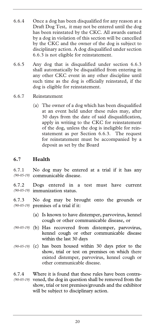- 6.6.4 Once a dog has been disqualified for any reason at a Draft Dog Test, it may not be entered until the dog has been reinstated by the CKC. All awards earned by a dog in violation of this section will be cancelled by the CKC and the owner of the dog is subject to disciplinary action. A dog disqualified under section 6.6.3 is not eligible for reinstatement.
- 6.6.5 Any dog that is disqualified under section 6.6.3 shall automatically be disqualified from entering in any other CKC event in any other discipline until such time as the dog is officially reinstated, if the dog is eligible for reinstatement.
- 6.6.7 Reinstatement
	- (a) The owner of a dog which has been disqualified at an event held under these rules may, after 30 days from the date of said disqualification, apply in writing to the CKC for reinstatement of the dog, unless the dog is ineligible for reinstatement as per Section 6.6.3. The request for reinstatement must be accompanied by a deposit as set by the Board

### **6.7 Health**

6.7.1 No dog may be entered at a trial if it has any communicable disease. *(90-05-19)* 

6.7.2 Dogs entered in a test must have current immunization status. *(90-05-19)* 

6.7.3 No dog may be brought onto the grounds or premises of a trial if it: *(90-05-19)* 

- (a) Is known to have distemper, parvovirus, kennel cough or other communicable disease, or
- (b) Has recovered from distemper, parvovirus, *(90-05-19)*  kennel cough or other communicable disease within the last 30 days
- (90-05-19) (c) has been housed within 30 days prior to the show, trial or test on premises on which there existed distemper, parvovirus, kennel cough or other communicable disease.
- 6.7.4 Where it is found that these rules have been contra-(90-05-19) vened, the dog in question shall be removed from the show, trial or test premises/grounds and the exhibitor will be subject to disciplinary action.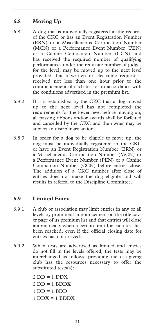### **6.8 Moving Up**

- 6.8.1 A dog that is individually registered in the records of the CKC or has an Event Registration Number (ERN) or a Miscellaneous Certification Number (MCN) or a Performance Event Number (PEN) or a Canine Companion Number (CCN) and has received the required number of qualifying performances under the requisite number of judges for the level, may be moved up to the next level provided that a written or electronic request is received not less than one hour prior to the commencement of each test or in accordance with the conditions advertised in the premium list.
- 6.8.2 If it is established by the CKC that a dog moved up to the next level has not completed the requirements for the lower level before moving up, all passing ribbons and/or awards shall be forfeited and cancelled by the CKC and the owner may be subject to disciplinary action.
- 6.8.3 In order for a dog to be eligible to move up, the dog must be individually registered in the CKC or have an Event Registration Number (ERN) or a Miscellaneous Certification Number (MCN) or a Performance Event Number (PEN) or a Canine Companion Number (CCN) before entries close. The addition of a CKC number after close of entries does not make the dog eligible and will results in referral to the Discipline Committee.

### **6.9 Limited Entry**

- 6.9.1 A club or association may limit entries in any or all levels by prominent announcement on the title cover page of its premium list and that entries will close automatically when a certain limit for each test has been reached, even if the official closing date for entries has not arrived.
- 6.9.2 When tests are advertised as limited and entries do not fill in the levels offered, the tests may be interchanged as follows, providing the test-giving club has the resources necessary to offer the substituted tests(s):

 DD = 1 DDX DD = 1 BDDX 1 DD = 1 BDD DDX =  $1$  BDDX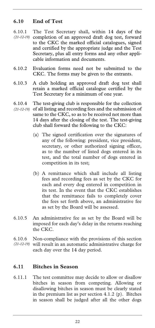### **6.10 End of Test**

- 6.10.1 The Test Secretary shall, within 14 days of the completion of an approved draft dog test, forward to the CKC the marked official catalogues, signed and certified by the appropriate judge and the Test Secretary, plus all entry forms and any other applicable information and documents. *(21-12-19)*
- 6.10.2 Evaluation forms need not be submitted to the CKC. The forms may be given to the entrants.
- 6.10.3 A club holding an approved draft dog test shall retain a marked official catalogue certified by the Test Secretary for a minimum of one year.
- 6.10.4 The test-giving club is responsible for the collection (21-12-19) of all listing and recording fees and the submission of same to the CKC, so as to be received not more than 14 days after the closing of the test. The test-giving club shall forward the following to the CKC:
	- (a) The signed certification over the signatures of any of the following: president, vice president, secretary, or other authorized signing officer, as to the number of listed dogs entered in its test, and the total number of dogs entered in competition in its test;
	- (b) A remittance which shall include all listing fees and recording fees as set by the CKC for each and every dog entered in competition in its test. In the event that the CKC establishes that the remittance fails to completely cover the fees set forth above, an administrative fee as set by the Board will be assessed.
- 6.10.5 An administrative fee as set by the Board will be imposed for each day's delay in the returns reaching the CKC.
- 6.10.6 Non-compliance with the provisions of this section (21-12-19) will result in an automatic administrative charge for each day over the 14 day period.

### **6.11 Bitches in Season**

6.11.1 The test committee may decide to allow or disallow bitches in season from competing. Allowing or disallowing bitches in season must be clearly stated in the premium list as per section 4.1.2 (p). Bitches in season shall be judged after all the other dogs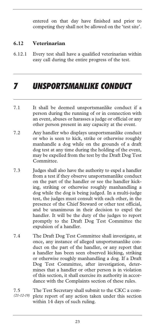entered on that day have finished and prior to competing they shall not be allowed on the 'test site'.

### **6.12 Veterinarian**

6.12.1 Every test shall have a qualified veterinarian within easy call during the entire progress of the test.

## *7 UNSPORTSMANLIKE CONDUCT*

- 7.1 It shall be deemed unsportsmanlike conduct if a person during the running of or in connection with an event, abuses or harasses a judge or official or any other person present in any capacity at the event.
- 7.2 Any handler who displays unsportsmanlike conduct or who is seen to kick, strike or otherwise roughly manhandle a dog while on the grounds of a draft dog test at any time during the holding of the event, may be expelled from the test by the Draft Dog Test Committee.
- 7.3 Judges shall also have the authority to expel a handler from a test if they observe unsportsmanlike conduct on the part of the handler or see the handler kicking, striking or otherwise roughly manhandling a dog while the dog is being judged. In a multi-judge test, the judges must consult with each other, in the presence of the Chief Steward or other test official, and be unanimous in their decision to expel the handler. It will be the duty of the judges to report promptly to the Draft Dog Test Committee the expulsion of a handler.
- 7.4 The Draft Dog Test Committee shall investigate, at once, any instance of alleged unsportsmanlike conduct on the part of the handler, or any report that a handler has been seen observed kicking, striking or otherwise roughly manhandling a dog. If a Draft Dog Test Committee, after investigation, determines that a handler or other person is in violation of this section, it shall exercise its authority in accordance with the Complaints section of these rules.
- 7.5 The Test Secretary shall submit to the CKC a complete report of any action taken under this section within 14 days of such ruling. *(21-12-19)*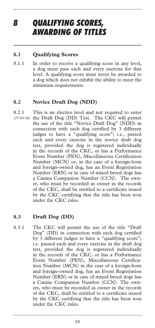### *8 QUALIFYING SCORES, AWARDING OF TITLES*

### **8.1 Qualifying Scores**

8.1.1 In order to receive a qualifying score in any level, a dog must pass each and every exercise for that level. A qualifying score must never be awarded to a dog which does not exhibit the ability to meet the minimum requirements.

### **8.2 Novice Draft Dog (NDD)**

8.2.1 This is an elective level and not required to enter (17-03-18) the Draft Dog (DD) Test. The CKC will permit the use of the title "Novice Draft Dog" (NDD) in connection with each dog certified by 3 different judges to have a "qualifying score"; i.e., passed each and every exercise in the novice draft dog test, provided the dog is registered individually in the records of the CKC, or has a Performance Event Number (PEN), Miscellaneous Certification Number (MCN) or, in the case of a foreign-born and foreign-owned dog, has an Event Registration Number (ERN) or in case of mixed breed dogs has a Canine Companion Number (CCN). The owner, who must be recorded as owner in the records of the CKC, shall be entitled to a certificate issued by the CKC certifying that the title has been won under the CKC rules.

### **8.3 Draft Dog (DD)**

8.3.1 The CKC will permit the use of the title "Draft Dog" (DD) in connection with each dog certified by 3 different judges to have a "qualifying score"; i.e. passed each and every exercise in the draft dog test, provided the dog is registered individually in the records of the CKC, or has a Performance Event Number (PEN), Miscellaneous Certification Number (MCN) in the case of a foreign-born and foreign-owned dog, has an Event Registration Number (ERN) or in case of mixed breed dogs has a Canine Companion Number (CCN). The owners, who must be recorded as owner in the records of the CKC, shall be entitled to a certificate issued by the CKC certifying that the title has been won under the CKC rules.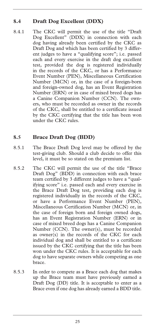### **8.4 Draft Dog Excellent (DDX)**

8.4.1 The CKC will permit the use of the title "Draft Dog Excellent" (DDX) in connection with each dog having already been certified by the CKC as Draft Dog and which has been certified by 3 different judges to have a "qualifying score"; i.e. passed each and every exercise in the draft dog excellent test, provided the dog is registered individually in the records of the CKC, or has a Performance Event Number (PEN), Miscellaneous Certification Number (MCN) or, in the case of a foreign-born and foreign-owned dog, has an Event Registration Number (ERN) or in case of mixed breed dogs has a Canine Companion Number (CCN). The owners, who must be recorded as owner in the records of the CKC, shall be entitled to a certificate issued by the CKC certifying that the title has been won under the CKC rules.

### **8.5 Brace Draft Dog (BDD)**

- 8.5.1 The Brace Draft Dog level may be offered by the test-giving club. Should a club decide to offer this level, it must be so stated on the premium list.
- 8.5.2 The CKC will permit the use of the title "Brace Draft Dog" (BDD) in connection with each brace team certified by 3 different judges to have a "qualifying score" i.e. passed each and every exercise in the Brace Draft Dog test, providing each dog is registered individually in the records of the CKC, or have a Performance Event Number (PEN), Miscellaneous Certification Number (MCN) or, in the case of foreign born and foreign owned dogs, has an Event Registration Number (ERN) or in case of mixed breed dogs has a Canine Companion Number (CCN). The owner(s), must be recorded as owner(s) in the records of the CKC for each individual dog and shall be entitled to a certificate issued by the CKC certifying that the title has been won under the CKC rules. It is acceptable for each dog to have separate owners while competing as one brace.
- 8.5.3 In order to compete as a Brace each dog that makes up the Brace team must have previously earned a Draft Dog (DD) title. It is acceptable to enter as a Brace even if one dog has already earned a BDD title.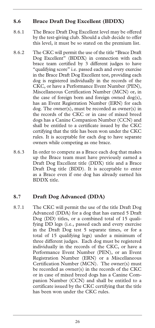### **8.6 Brace Draft Dog Excellent (BDDX)**

- 8.6.1 The Brace Draft Dog Excellent level may be offered by the test-giving club. Should a club decide to offer this level, it must be so stated on the premium list.
- 8.6.2 The CKC will permit the use of the title "Brace Draft Dog Excellent" (BDDX) in connection with each brace team certified by 3 different judges to have "qualifying score" i.e. passed each and every exercise in the Brace Draft Dog Excellent test, providing each dog is registered individually in the records of the CKC, or have a Performance Event Number (PEN), Miscellaneous Certification Number (MCN) or, in the case of foreign born and foreign owned dog(s), has an Event Registration Number (ERN) for each dog. The owner(s), must be recorded as owner(s) in the records of the CKC or in case of mixed breed dogs has a Canine Companion Number (CCN) and shall be entitled to a certificate issued by the CKC certifying that the title has been won under the CKC rules. It is acceptable for each dog to have separate owners while competing as one brace.
- 8.6.3 In order to compete as a Brace each dog that makes up the Brace team must have previously earned a Draft Dog Excellent title (DDX) title and a Brace Draft Dog title (BDD). It is acceptable to enter as a Brace even if one dog has already earned his BDDX title.

### **8.7 Draft Dog Advanced (DDA)**

8.7.1 The CKC will permit the use of the title Draft Dog Advanced (DDA) for a dog that has earned 5 Draft Dog (DD) titles, or a combined total of 15 qualifying DD legs (i.e., passed each and every exercise in the Draft Dog test 5 separate times, or for a total of 15 qualifying legs) under a minimum of three different judges. Each dog must be registered individually in the records of the CKC, or have a Performance Event Number (PEN), or an Event Registration Number (ERN) or a Miscellaneous Certification Number (MCN). The owner(s) must be recorded as owner(s) in the records of the CKC or in case of mixed breed dogs has a Canine Companion Number (CCN) and shall be entitled to a certificate issued by the CKC certifying that the title has been won under the CKC rules.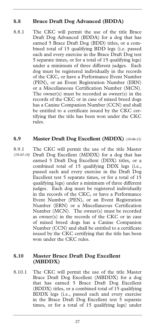### **8.8 Brace Draft Dog Advanced (BDDA)**

8.8.1 The CKC will permit the use of the title Brace Draft Dog Advanced (BDDA) for a dog that has earned 5 Brace Draft Dog (BDD) titles, or a combined total of 15 qualifying BDD legs (i.e. passed each and every exercise in the Brace Draft Dog test 5 separate times, or for a total of 15 qualifying legs) under a minimum of three different judges. Each dog must be registered individually in the records of the CKC, or have a Performance Event Number (PEN), or an Event Registration Number (ERN) or a Miscellaneous Certification Number (MCN). The owner(s) must be recorded as owner(s) in the records of the CKC or in case of mixed breed dogs has a Canine Companion Number (CCN) and shall be entitled to a certificate issued by the CKC certifying that the title has been won under the CKC rules.

### **8.9 Master Draft Dog Excellent (MDDX)** *(10-06-15)*

8.9.1 The CKC will permit the use of the title Master Draft Dog Excellent (MDDX) for a dog that has earned 5 Draft Dog Excellent (DDX) titles, or a combined total of 15 qualifying DDX legs (i.e., passed each and every exercise in the Draft Dog Excellent test 5 separate times, or for a total of 15 qualifying legs) under a minimum of three different judges. Each dog must be registered individually in the records of the CKC, or have a Performance Event Number (PEN), or an Event Registration Number (ERN) or a Miscellaneous Certification Number (MCN). The owner(s) must be recorded as owner(s) in the records of the CKC or in case of mixed breed dogs has a Canine Companion Number (CCN) and shall be entitled to a certificate issued by the CKC certifying that the title has been won under the CKC rules. *(18-03-18)* 

### **8.10 Master Brace Draft Dog Excellent (MBDDX)**

8.10.1 The CKC will permit the use of the title Master Brace Draft Dog Excellent (MBDDX) for a dog that has earned 5 Brace Draft Dog Excellent (BDDX) titles, or a combined total of 15 qualifying BDDX legs (i.e., passed each and every exercise in the Brace Draft Dog Excellent test 5 separate times, or for a total of 15 qualifying legs) under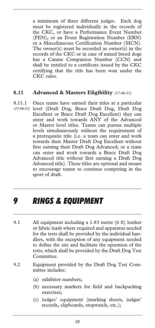a minimum of three different judges. Each dog must be registered individually in the records of the CKC, or have a Performance Event Number (PEN), or an Event Registration Number (ERN) or a Miscellaneous Certification Number (MCN). The owner(s) must be recorded as owner(s) in the records of the CKC or in case of mixed breed dogs has a Canine Companion Number (CCN) and shall be entitled to a certificate issued by the CKC certifying that the title has been won under the CKC rules.

### **8.11 Advanced & Masters Eligibility** *(17-06-21)*

8.11.1 Once teams have earned their titles at a particular (17-06-21) level (Draft Dog, Brace Draft Dog, Draft Dog Excellent or Brace Draft Dog Excellent) they can enter and work towards ANY of the Advanced or Master level titles. Teams can pursue multiple levels simultaneously without the requirement of a prerequisite title (i.e. a team can enter and work towards their Master Draft Dog Excellent without first earning their Draft Dog Advanced; or a team can enter and work towards a Brace Draft Dog Advanced title without first earning a Draft Dog Advanced title). These titles are optional and meant to encourage teams to continue competing in the sport of draft.

### *9 RINGS & EQUIPMENT*

- 9.1 All equipment including a 1.83 metre (6 ft) leather or fabric leash where required and apparatus needed for the tests shall be provided by the individual handlers, with the exception of any equipment needed to define the site and facilitate the operation of the tests, which shall be provided by the Draft Dog Test Committee.
- 9.2 Equipment provided by the Draft Dog Test Committee includes:
	- (a) exhibitor numbers;
	- (b) necessary markers for field and backpacking exercises;
	- (c) judges' equipment (marking sheets, judges' records, clipboards, stopwatch, etc.);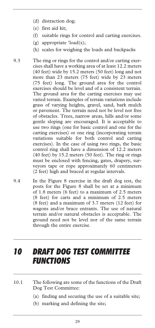- (d) distraction dog;
- (e) first aid kit;
- (f) suitable rings for control and carting exercises.
- (g) appropriate 'load(s);
- (h) scales for weighing the loads and backpacks
- 9.3 The ring or rings for the control and/or carting exercises shall have a working area of at least 12.2 meters (40 feet) wide by 15.2 meters (50 feet) long and not more than 23 meters (75 feet) wide by 23 meters (75 feet) long. The ground area for the control exercises should be level and of a consistent terrain. The ground area for the carting exercises may use varied terrain. Examples of terrain variations include grass of varying heights, gravel, sand, bark mulch or pavement. The terrain need not be level nor free of obstacles. Trees, narrow areas, hills and/or some gentle sloping are encouraged. It is acceptable to use two rings (one for basic control and one for the carting exercises) or one ring (incorporating terrain variations suitable for both control and carting exercises). In the case of using two rings, the basic control ring shall have a dimension of 12.2 meters (40 feet) by 15.2 meters (50 feet). The ring or rings must be enclosed with fencing, gates, drapery, surveyors tape or rope approximately 60 centimeters (2 feet) high and braced at regular intervals.
- 9.4 In the Figure 8 exercise in the draft dog test, the posts for the Figure 8 shall be set at a minimum of 1.8 meters (6 feet) to a maximum of 2.5 meters (8 feet) for carts and a minimum of 2.5 meters (8 feet) and a maximum of 3.7 meters (12 feet) for wagons and/or brace entrants. The use of natural terrain and/or natural obstacles is acceptable. The ground need not be level nor of the same terrain through the entire exercise.

### *10 DRAFT DOG TEST COMMITTEE FUNCTIONS*

- 10.1 The following are some of the functions of the Draft Dog Test Committee:
	- (a) finding and securing the use of a suitable site;
	- (b) marking and defining the site;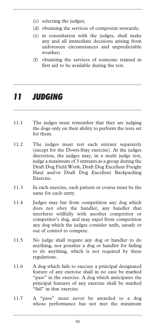- (c) selecting the judges;
- (d) obtaining the services of competent stewards;
- (e) in consultation with the judges, shall make any and all immediate decisions arising from unforeseen circumstances and unpredictable weather;
- (f) obtaining the services of someone trained in first aid to be available during the test.

## *11 JUDGING*

- 11.1 The judges must remember that they are judging the dogs only on their ability to perform the tests set for them.
- 11.2 The judges must test each entrant separately (except for the Down-Stay exercise). At the judges discretion, the judges may, in a multi judge test, judge a maximum of 3 entrants as a group during the Draft Dog Field Work, Draft Dog Excellent Freight Haul and/or Draft Dog Excellent Backpacking Exercise.
- 11.3 In each exercise, each pattern or course must be the same for each entry.
- 11.4 Judges may bar from competition any dog which does not obey the handler, any handler that interferes willfully with another competitor or competitor's dog, and may expel from competition any dog which the judges consider unfit, unsafe or out of control to compete.
- 11.5 No judge shall require any dog or handler to do anything, nor penalize a dog or handler for failing to do anything, which is not required by these regulations.
- 11.6 A dog which fails to execute a principal designated feature of any exercise shall in no case be marked "pass" in the exercise. A dog which anticipates the principal features of any exercise shall be marked "fail" in that exercise.
- 11.7 A "pass" must never be awarded to a dog whose performance has not met the minimum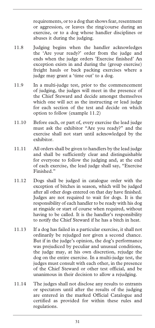requirements, or to a dog that shows fear, resentment or aggression, or leaves the ring/course during an exercise, or to a dog whose handler disciplines or abuses it during the judging.

- 11.8 Judging begins when the handler acknowledges the 'Are your ready?' order from the judge and ends when the judge orders 'Exercise finished' An exception exists in and during the (group exercise) freight hauls or back packing exercises where a judge may grant a 'time out' to a dog.
- 11.9 In a multi-judge test, prior to the commencement of judging, the judges will meet in the presence of the Chief Steward and decide amongst themselves which one will act as the instructing or lead judge for each section of the test and decide on which option to follow (example 11.2)
- 11.10 Before each, or part of, every exercise the lead judge must ask the exhibitor "Are you ready?" and the exercise shall not start until acknowledged by the exhibitor.
- 11.11 All orders shall be given to handlers by the lead judge and shall be sufficiently clear and distinguishable for everyone to follow the judging and, at the end of each exercise, the lead judge shall say, "Exercise Finished."
- 11.12 Dogs shall be judged in catalogue order with the exception of bitches in season, which will be judged after all other dogs entered on that day have finished. Judges are not required to wait for dogs. It is the responsibility of each handler to be ready with his dog at ringside or start of course when required, without having to be called. It is the handler's responsibility to notify the Chief Steward if he has a bitch in heat.
- 11.13 If a dog has failed in a particular exercise, it shall not ordinarily be rejudged nor given a second chance. But if in the judge's opinion, the dog's performance was prejudiced by peculiar and unusual conditions, the judge may, at his own discretion, rejudge the dog on the entire exercise. In a multi-judge test, the judges must consult with each other, in the presence of the Chief Steward or other test official, and be unanimous in their decision to allow a rejudging.
- 11.14 The judges shall not disclose any results to entrants or spectators until after the results of the judging are entered in the marked Official Catalogue and certified as provided for within these rules and regulations.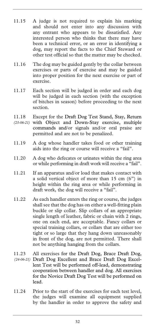- 11.15 A judge is not required to explain his marking and should not enter into any discussion with any entrant who appears to be dissatisfied. Any interested person who thinks that there may have been a technical error, or an error in identifying a dog, may report the facts to the Chief Steward or other test official so that the matter may be checked.
- 11.16 The dog may be guided gently by the collar between exercises or parts of exercise and may be guided into proper position for the next exercise or part of exercise.
- 11.17 Each section will be judged in order and each dog will be judged in each section (with the exception of bitches in season) before proceeding to the next section.
- 11.18 Except for the Draft Dog Test Stand, Stay, Return (23-06-21) with Object and Down-Stay exercise, multiple commands and/or signals and/or oral praise are permitted and are not to be penalized.
- 11.19 A dog whose handler takes food or other training aids into the ring or course will receive a "fail".
- 11.20 A dog who defecates or urinates within the ring area or while performing in draft work will receive a "fail".
- 11.21 If an apparatus and/or load that makes contact with a solid vertical object of more than 15 cm (6") in height within the ring area or while performing in draft work, the dog will receive a "fail".
- 11.22 As each handler enters the ring or course, the judges shall see that the dog has on either a well-fitting plain buckle or slip collar. Slip collars of an appropriate single length of leather, fabric or chain with 2 rings, one on each end, are acceptable. Fancy collars or special training collars, or collars that are either too tight or so large that they hang down unreasonably in front of the dog, are not permitted. There shall not be anything hanging from the collars.
- 11.23 All exercises for the Draft Dog, Brace Draft Dog, (24-06-21) Draft Dog Excellent and Brace Draft Dog Excellent Test will be performed off-lead, demonstrating cooperation between handler and dog. All exercises for the Novice Draft Dog Test will be performed on lead.
- 11.24 Prior to the start of the exercises for each test level, the judges will examine all equipment supplied by the handler in order to approve the safety and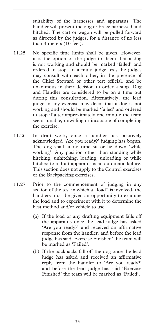suitability of the harnesses and apparatus. The handler will present the dog or brace harnessed and hitched. The cart or wagon will be pulled forward as directed by the judges, for a distance of no less than 3 meters (10 feet).

- 11.25 No specific time limits shall be given. However, it is the option of the judge to deem that a dog is not working and should be marked 'failed' and ordered to stop. In a multi judge test, the judges may consult with each other, in the presence of the Chief Steward or other test official, and be unanimous in their decision to order a stop. Dog and Handler are considered to be on a time out during this consultation. Alternatively, the lead judge in any exercise may deem that a dog is not working and should be marked 'failed' and ordered to stop if after approximately one minute the team seems unable, unwilling or incapable of completing the exercise.
- 11.26 In draft work, once a handler has positively acknowledged 'Are you ready?' judging has begun. The dog shall at no time sit or lie down 'while working'. Any position other than standing while hitching, unhitching, loading, unloading or while hitched to a draft apparatus is an automatic failure. This section does not apply to the Control exercises or the Backpacking exercises.
- 11.27 Prior to the commencement of judging in any section of the test in which a "load" is involved, the handlers must be given an opportunity to examine the load and to experiment with it to determine the best method and/or vehicle to use.
	- (a) If the load or any drafting equipment falls off the apparatus once the lead judge has asked 'Are you ready?' and received an affirmative response from the handler, and before the lead judge has said 'Exercise Finished' the team will be marked as 'Failed'.
	- (b) If the backpacks fall off the dog once the lead judge has asked and received an affirmative reply from the handler to 'Are you ready?' and before the lead judge has said 'Exercise Finished' the team will be marked as 'Failed'.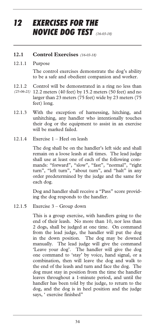## *12 EXERCISES FOR THE NOVICE DOG TEST (16-03-18)*

#### **12.1 Control Exercises** *(16-03-18)*

#### 12.1.1 Purpose

The control exercises demonstrate the dog's ability to be a safe and obedient companion and worker.

12.1.2 Control will be demonstrated in a ring no less than

- 12.2 meters (40 feet) by 15.2 meters (50 feet) and no *(25-06-21)* larger than 23 meters (75 feet) wide by 23 meters (75 feet) long.
- 12.1.3 With the exception of harnessing, hitching, and unhitching, any handler who intentionally touches their dog or the equipment to assist in an exercise will be marked failed.
- 12.1.4 Exercise 1 Heel on leash

The dog shall be on the handler's left side and shall remain on a loose leash at all times. The lead judge shall use at least one of each of the following commands: "forward", "slow", "fast", "normal", "right turn", "left turn", "about turn", and "halt" in any order predetermined by the judge and the same for each dog.

Dog and handler shall receive a "Pass" score providing the dog responds to the handler.

12.1.5 Exercise 3 – Group down

This is a group exercise, with handlers going to the end of their leash. No more than 10, nor less than 2 dogs, shall be judged at one time. On command from the lead judge, the handler will put the dog in the down position. The dog may be downed manually. The lead judge will give the command 'Leave your dog'. The handler will give the dog one command to 'stay' by voice, hand signal, or a combination, then will leave the dog and walk to the end of the leash and turn and face the dog. The dog must stay in position from the time the handler leaves throughout a 1-minute period, and until the handler has been told by the judge, to return to the dog, and the dog is in heel position and the judge says, ' exercise finished"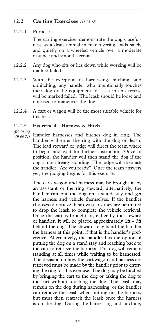### **12.2 Carting Exercises** *(16-03-18)*

#### 12.2.1 Purpose

The carting exercises demonstrate the dog's usefulness as a draft animal in maneuvering loads safely and quietly on a wheeled vehicle over a moderate distance and smooth terrain.

- 12.2.2 Any dog who sits or lies down while working will be marked failed.
- 12.2.3 With the exception of harnessing, hitching, and unhitching, any handler who intentionally touches their dog or the equipment to assist in an exercise will be marked failed. The leash should be loose and not used to maneuver the dog
- 12.2.4 A cart or wagon will be the most suitable vehicle for this test.

#### 12.2.5 **Exercise 4 - Harness & Hitch**

*(05-10-18)* 

Handler harnesses and hitches dog in ring. The handler will enter the ring with the dog on leash. The lead steward or judge will direct the team where to begin and wait for further instruction. Once in position, the handler will then stand the dog if the dog is not already standing. The judge will then ask the handler "Are you ready". Once the team answers yes, the judging begins for this exercise. *(19-06-21)* 

> The cart, wagon and harness may be brought in by an assistant or the ring steward; alternatively, the handler can put the dog on a stand stay and get the harness and vehicle themselves. If the handler chooses to retrieve their own cart, they are permitted to drop the leash to complete the vehicle retrieval. Once the cart is brought in, either by the steward or handler, it will be placed approximately 1ft - 3ft behind the dog. The steward may hand the handler the harness at this point, if that is the handler's preference. Alternatively, the handler has the option of putting the dog on a stand stay and reaching back to the cart to retrieve the harness. The dog will remain standing at all times while waiting to be harnessed. The decision on how the cart/wagon and harness are retrieved must be made by the handler prior to entering the ring for this exercise. The dog may be hitched by bringing the cart to the dog or taking the dog to the cart without touching the dog. The leash may remain on the dog during harnessing, or the handler can remove the leash when putting on the harness, but must then reattach the leash once the harness is on the dog. During the harnessing and hitching,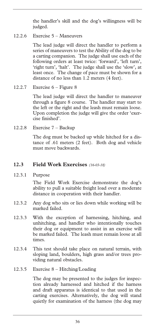the handler's skill and the dog's willingness will be judged.

12.2.6 Exercise 5 – Maneuvers

The lead judge will direct the handler to perform a series of maneuvers to test the Ability of the dog to be a carting companion. The judge shall use each of the following orders at least twice: 'forward', 'left turn', 'right turn', 'halt'. The judge shall use the 'slow', at least once. The change of pace must be shown for a distance of no less than 1.2 meters (4 feet).

12.2.7 Exercise 6 – Figure 8

The lead judge will direct the handler to maneuver through a figure 8 course. The handler may start to the left or the right and the leash must remain loose. Upon completion the judge will give the order 'exercise finished'.

12.2.8 Exercise 7 – Backup

The dog must be backed up while hitched for a distance of .61 meters (2 feet). Both dog and vehicle must move backwards.

### **12.3 Field Work Exercises** *(16-03-18)*

12.3.1 Purpose

The Field Work Exercise demonstrate the dog's ability to pull a suitable freight load over a moderate distance in cooperation with their handler.

- 12.3.2 Any dog who sits or lies down while working will be marked failed.
- 12.3.3 With the exception of harnessing, hitching, and unhitching, and handler who intentionally touches their dog or equipment to assist in an exercise will be marked failed. The leash must remain loose at all times.
- 12.3.4 This test should take place on natural terrain, with sloping land, boulders, high grass and/or trees providing natural obstacles.
- 12.3.5 Exercise 8 Hitching/Loading

The dog may be presented to the judges for inspection already harnessed and hitched if the harness and draft apparatus is identical to that used in the carting exercises. Alternatively, the dog will stand quietly for examination of the harness (the dog may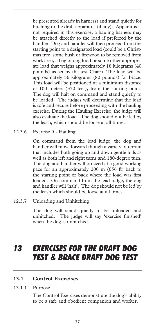be presented already in harness) and stand quietly for hitching to the draft apparatus (if any). Apparatus is not required in this exercise; a hauling harness may be attached directly to the load if preferred by the handler. Dog and handler will then proceed from the starting point to a designated load (could be a Christmas tree, some bush or firewood to be removed from work area, a bag of dog food or some other appropriate load that weighs approximately 18 kilograms (40 pounds) as set by the test Chair). The load will be approximately 36 kilograms (80 pounds) for brace. This load will be positioned at a minimum distance of 100 meters (330 feet), from the starting point. The dog will halt on command and stand quietly to be loaded. The judges will determine that the load is safe and secure before proceeding with the hauling exercise. During the Hauling Exercise, the judge will also evaluate the load. The dog should not be led by the leash, which should be loose at all times.

12.3.6 Exercise 9 - Hauling

On command from the lead judge, the dog and handler will move forward though a variety of terrain that includes both going up and down gentle hills as well as both left and right turns and 180-degree turn. The dog and handler will proceed at a good working pace for an approximately 200 m (656 ft) back to the starting point or back where the load was first loaded. On command from the lead judge, the dog and handler will 'halt'. The dog should not be led by the leash which should be loose at all times.

12.3.7 Unloading and Unhitching

The dog will stand quietly to be unloaded and unhitched. The judge will say 'exercise finished' when the dog is unhitched.

## *13 EXERCISES FOR THE DRAFT DOG TEST & BRACE DRAFT DOG TEST*

### **13.1 Control Exercises**

13.1.1 Purpose

The Control Exercises demonstrate the dog's ability to be a safe and obedient companion and worker.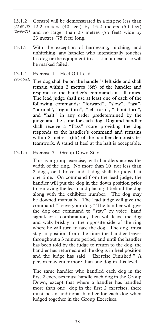13.1.2 Control will be demonstrated in a ring no less than 12.2 meters (40 feet) by 15.2 meters (50 feet) *(15-03-18)*   $(26-06-21)$  and no larger than 23 metres (75 feet) wide by 23 metres (75 feet) long.

- 13.1.3 With the exception of harnessing, hitching, and unhitching, any handler who intentionally touches his dog or the equipment to assist in an exercise will be marked failed.
- 13.1.4 Exercise 1 Heel Off Lead
- The dog shall be on the handler's left side and shall *(20-06-21)* remain within 2 metres (6ft) of the handler and respond to the handler's commands at all times. The lead judge shall use at least one of each of the following commands: "forward", "slow", "fast", "normal", "right turn", "left turn", "about turn", and "halt" in any order predetermined by the judge and the same for each dog. Dog and handler shall receive a "Pass" score providing the dog responds to the handler's command and remains within 2 metres (6ft) of the handler demonstrates teamwork. A stand at heel at the halt is acceptable.
- 13.1.5 Exercise 3 Group Down Stay

This is a group exercise, with handlers across the width of the ring. No more than 10, nor less than 2 dogs, or 1 brace and 1 dog shall be judged at one time. On command from the lead judge, the handler will put the dog in the down position prior to removing the leash and placing it behind the dog along with the exhibitor number. The dog may be downed manually. The lead judge will give the command "Leave your dog." The handler will give the dog one command to "stay" by voice, hand signal, or a combination, then will leave the dog and walk briskly to the opposite side of the ring where he will turn to face the dog. The dog must stay in position from the time the handler leaves throughout a 3 minute period, and until the handler has been told by the judge to return to the dog, the handler has returned and the dog is in heel position and the judge has said "Exercise Finished." A person may enter more than one dog in this level.

The same handler who handled each dog in the first 2 exercises must handle each dog in the Group Down, except that where a handler has handled more than one dog in the first 2 exercises, there must be an additional handler for each dog when judged together in the Group Exercises.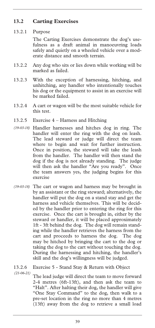### **13.2 Carting Exercises**

### 13.2.1 Purpose

The Carting Exercises demonstrate the dog's usefulness as a draft animal in manoeuvring loads safely and quietly on a wheeled vehicle over a moderate distance and smooth terrain.

- 13.2.2 Any dog who sits or lies down while working will be marked as failed.
- 13.2.3 With the exception of harnessing, hitching, and unhitching, any handler who intentionally touches his dog or the equipment to assist in an exercise will be marked failed.
- 13.2.4 A cart or wagon will be the most suitable vehicle for this test.
- 13.2.5 Exercise 4 Harness and Hitching
- Handler harnesses and hitches dog in ring. The *(19-03-18)*  handler will enter the ring with the dog on leash. The lead steward or judge will direct the team where to begin and wait for further instruction. Once in position, the steward will take the leash from the handler. The handler will then stand the dog if the dog is not already standing. The judge will then ask the handler "Are you ready". Once the team answers yes, the judging begins for this exercise
- The cart or wagon and harness may be brought in *(19-03-18)*  by an assistant or the ring steward; alternatively, the handler will put the dog on a stand stay and get the harness and vehicle themselves. This will be decided by the handler prior to entering the ring for this exercise. Once the cart is brought in, either by the steward or handler, it will be placed approximately 1ft - 3ft behind the dog. The dog will remain standing while the handler retrieves the harness from the cart and proceeds to harness the dog. The dog may be hitched by bringing the cart to the dog or taking the dog to the cart without touching the dog. During the harnessing and hitching, the handler's skill and the dog's willingness will be judged.

13.2.6 Exercise 5 - Stand Stay & Return with Object *(21-06-21)* 

The lead judge will direct the team to move forward 2-4 metres (6ft-13ft), and then ask the team to "Halt". After halting their dog, the handler will give "One Stay Command" to the dog, then walk to a pre-set location in the ring no more than 4 metres (13ft) away from the dog to retrieve a small load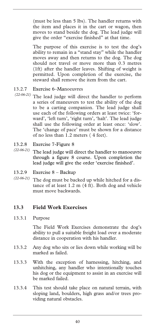(must be less than 5 lbs). The handler returns with the item and places it in the cart or wagon, then moves to stand beside the dog. The lead judge will give the order "exercise finished" at that time.

The purpose of this exercise is to test the dog's ability to remain in a "stand stay" while the handler moves away and then returns to the dog. The dog should not travel or move more than 0.3 metres (1ft) after the handler leaves. Shifting of weight is permitted. Upon completion of the exercise, the steward shall remove the item from the cart.

- 13.2.7 Exercise 6–Manoeuvres
- The lead judge will direct the handler to perform *(22-06-21)*  a series of maneuvers to test the ability of the dog to be a carting companion. The lead judge shall use each of the following orders at least twice: 'forward', 'left turn', 'right turn', 'halt'. The lead judge shall use the following order at least once: 'slow'. The 'change of pace' must be shown for a distance of no less than 1.2 meters ( 4 feet).
- 13.2.8 Exercise 7-Figure 8
- The lead judge will direct the handler to manoeuvre *(22-06-21)*  through a figure 8 course. Upon completion the lead judge will give the order 'exercise finished'.
- 13.2.9 Exercise 8 Backup
- The dog must be backed up while hitched for a dis-*(22-06-21)* tance of at least 1.2 m (4 ft). Both dog and vehicle must move backwards.

### **13.3 Field Work Exercises**

13.3.1 Purpose

The Field Work Exercises demonstrate the dog's ability to pull a suitable freight load over a moderate distance in cooperation with his handler.

- 13.3.2 Any dog who sits or lies down while working will be marked as failed.
- 13.3.3 With the exception of harnessing, hitching, and unhitching, any handler who intentionally touches his dog or the equipment to assist in an exercise will be marked failed.
- 13.3.4 This test should take place on natural terrain, with sloping land, boulders, high grass and/or trees providing natural obstacles.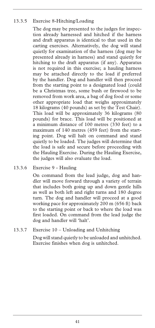### 13.3.5 Exercise 8-Hitching/Loading

The dog may be presented to the judges for inspection already harnessed and hitched if the harness and draft apparatus is identical to that used in the carting exercises. Alternatively, the dog will stand quietly for examination of the harness (dog may be presented already in harness) and stand quietly for hitching to the draft apparatus (if any). Apparatus is not required in this exercise; a hauling harness may be attached directly to the load if preferred by the handler. Dog and handler will then proceed from the starting point to a designated load (could be a Christmas tree, some bush or firewood to be removed from work area, a bag of dog food or some other appropriate load that weighs approximately 18 kilograms (40 pounds) as set by the Test Chair). This load will be approximately 36 kilograms (80 pounds) for brace. This load will be positioned at a minimum distance of 100 metres (330 feet) to a maximum of 140 metres (459 feet) from the starting point. Dog will halt on command and stand quietly to be loaded. The judges will determine that the load is safe and secure before proceeding with the Hauling Exercise. During the Hauling Exercise, the judges will also evaluate the load.

### 13.3.6 Exercise 9 - Hauling

On command from the lead judge, dog and handler will move forward through a variety of terrain that includes both going up and down gentle hills as well as both left and right turns and 180 degree turn. The dog and handler will proceed at a good working pace for approximately 200 m (656 ft) back to the starting point or back to where the load was first loaded. On command from the lead judge the dog and handler will 'halt'.

### 13.3.7 Exercise 10 – Unloading and Unhitching

Dog will stand quietly to be unloaded and unhitched. Exercise finishes when dog is unhitched.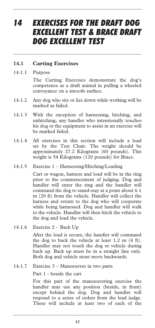### *14 EXERCISES FOR THE DRAFT DOG EXCELLENT TEST & BRACE DRAFT DOG EXCELLENT TEST*

#### **14.1 Carting Exercises**

#### 14.1.1 Purpose

The Carting Exercises demonstrate the dog's competence as a draft animal in pulling a wheeled conveyance on a smooth surface.

- 14.1.2 Any dog who sits or lies down while working will be marked as failed.
- 14.1.3 With the exception of harnessing, hitching, and unhitching, any handler who intentionally touches his dog or the equipment to assist in an exercise will be marked failed.
- 14.1.4 All exercises in this section will include a load set by the Test Chair. The weight should be approximately 27.2 Kilograms (60 pounds). This weight is 54 Kilograms (120 pounds) for Brace.
- 14.1.5 Exercise 1 Harnessing/Hitching/Loading

Cart or wagon, harness and load will be in the ring prior to the commencement of judging. Dog and handler will enter the ring and the handler will command the dog to stand-stay at a point about 6.1 m (20 ft) from the vehicle. Handler will collect the harness and return to the dog who will cooperate while being harnessed. Dog and handler will walk to the vehicle. Handler will then hitch the vehicle to the dog and load the vehicle.

14.1.6 Exercise 2 – Back Up

After the load is secure, the handler will command the dog to back the vehicle at least 1.2 m (4 ft). Handler may not touch the dog or vehicle during back up. Back up must be in a straight line only. Both dog and vehicle must move backwards.

14.1.7 Exercise 3 – Manoeuvres in two parts

Part 1 - beside the cart

For this part of the manoeuvering exercise the handler may use any position (beside, in front) except behind the dog. Dog and handler will respond to a series of orders from the lead judge. These will include at least two of each of the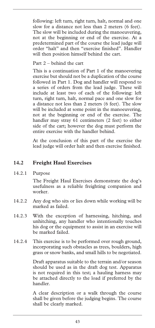following: left turn, right turn, halt, normal and one slow for a distance not less than 2 meters (6 feet). The slow will be included during the manoeuvering, not at the beginning or end of the exercise. At a predetermined part of the course the lead judge will order "halt" and then "exercise finished". Handler will then position himself behind the cart.

#### Part 2 – behind the cart

This is a continuation of Part 1 of the manoevering exercise but should not be a duplication of the course followed in Part 1. Dog and handler will respond to a series of orders from the lead judge. These will include at least two of each of the following: left turn, right turn, halt, normal pace and one slow for a distance not less than 2 meters (6 feet). The slow will be included at some point in the manoeuvering, not at the beginning or end of the exercise. The handler may stray 61 centimeters (2 feet) to either side of the cart; however the dog must perform the entire exercise with the handler behind.

At the conclusion of this part of the exercise the lead judge will order halt and then exercise finished.

### **14.2 Freight Haul Exercises**

14.2.1 Purpose

The Freight Haul Exercises demonstrate the dog's usefulness as a reliable freighting companion and worker.

- 14.2.2 Any dog who sits or lies down while working will be marked as failed.
- 14.2.3 With the exception of harnessing, hitching, and unhitching, any handler who intentionally touches his dog or the equipment to assist in an exercise will be marked failed.
- 14.2.4 This exercise is to be performed over rough ground, incorporating such obstacles as trees, boulders, high grass or snow banks, and small hills to be negotiated.

Draft apparatus suitable to the terrain and/or season should be used as in the draft dog test. Apparatus is not required in this test; a hauling harness may be attached directly to the load if preferred by the handler.

A clear description or a walk through the course shall be given before the judging begins. The course shall be clearly marked.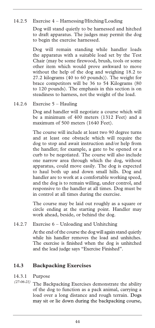### 14.2.5 Exercise 4 – Harnessing/Hitching/Loading

Dog will stand quietly to be harnessed and hitched to draft apparatus. The judges may permit the dog to begin the exercise harnessed.

Dog will remain standing while handler loads the apparatus with a suitable load set by the Test Chair (may be some firewood, brush, tools or some other item which would prove awkward to move without the help of the dog and weighing 18.2 to 27.2 kilograms (40 to 60 pounds)). The weight for brace competitors will be 36 to 54 Kilograms (80 to 120 pounds). The emphasis in this section is on steadiness to harness, not the weight of the load.

#### 14.2.6 Exercise 5 – Hauling

Dog and handler will negotiate a course which will be a minimum of 400 meters (1312 Feet) and a maximum of 500 meters (1640 Feet).

The course will include at least two 90 degree turns and at least one obstacle which will require the dog to stop and await instruction and/or help from the handler; for example, a gate to be opened or a curb to be negotiated. The course will also include one narrow area through which the dog, without apparatus, could move easily. The dog is expected to haul both up and down small hills. Dog and handler are to work at a comfortable working speed, and the dog is to remain willing, under control, and responsive to the handler at all times. Dog must be in control at all times during the exercise.

The course may be laid out roughly as a square or circle ending at the starting point. Handler may work ahead, beside, or behind the dog.

### 14.2.7 Exercise 6 – Unloading and Unhitching

At the end of the course the dog will again stand quietly while his handler removes the load and unhitches. The exercise is finished when the dog is unhitched and the lead judge says "Exercise Finished".

### **14.3 Backpacking Exercises**

14.3.1 Purpose

The Backpacking Exercises demonstrate the ability of the dog to function as a pack animal, carrying a load over a long distance and rough terrain. Dogs may sit or lie down during the backpacking course, *(27-06-21)*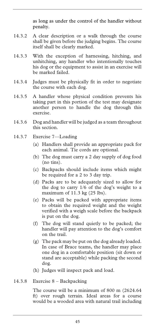as long as under the control of the handler without penalty.

- 14.3.2 A clear description or a walk through the course shall be given before the judging begins. The course itself shall be clearly marked.
- 14.3.3 With the exception of harnessing, hitching, and unhitching, any handler who intentionally touches his dog or the equipment to assist in an exercise will be marked failed.
- 14.3.4 Judges must be physically fit in order to negotiate the course with each dog.
- 14.3.5 A handler whose physical condition prevents his taking part in this portion of the test may designate another person to handle the dog through this exercise.
- 14.3.6 Dog and handler will be judged as a team throughout this section.
- 14.3.7 Exercise 7—Loading
	- (a) Handlers shall provide an appropriate pack for each animal. Tie cords are optional.
	- (b) The dog must carry a 2 day supply of dog food (no tins).
	- (c) Backpacks should include items which might be required for a 2 to 3 day trip.
	- (d) Packs are to be adequately sized to allow for the dog to carry 1/6 of the dog's weight to a maximum of 11.3 kg (25 lbs).
	- (e) Packs will be packed with appropriate items to obtain the required weight and the weight verified with a weigh scale before the backpack is put on the dog.
	- (f) The dog will stand quietly to be packed; the handler will pay attention to the dog's comfort on the trail.
	- (g) The pack may be put on the dog already loaded. In case of Brace teams, the handler may place one dog in a comfortable position (sit down or stand are acceptable) while packing the second dog.
	- (h) Judges will inspect pack and load.
- 14.3.8 Exercise 8 Backpacking

The course will be a minimum of 800 m (2624.64 ft) over rough terrain. Ideal areas for a course would be a wooded area with natural trail including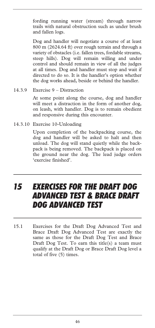fording running water (stream) through narrow trails with natural obstruction such as under brush and fallen logs.

Dog and handler will negotiate a course of at least 800 m (2624.64 ft) over rough terrain and through a variety of obstacles (i.e. fallen trees, fordable streams, steep hills). Dog will remain willing and under control and should remain in view of all the judges at all times. Dog and handler must stop and wait if directed to do so. It is the handler's option whether the dog works ahead, beside or behind the handler.

14.3.9 Exercise 9 – Distraction

At some point along the course, dog and handler will meet a distraction in the form of another dog, on leash, with handler. Dog is to remain obedient and responsive during this encounter.

14.3.10 Exercise 10-Unloading

Upon completion of the backpacking course, the dog and handler will be asked to halt and then unload. The dog will stand quietly while the backpack is being removed. The backpack is placed on the ground near the dog. The lead judge orders 'exercise finished'.

### *15 EXERCISES FOR THE DRAFT DOG ADVANCED TEST & BRACE DRAFT DOG ADVANCED TEST*

15.1 Exercises for the Draft Dog Advanced Test and Brace Draft Dog Advanced Test are exactly the same as those for the Draft Dog Test and Brace Draft Dog Test. To earn this title(s) a team must qualify at the Draft Dog or Brace Draft Dog level a total of five (5) times.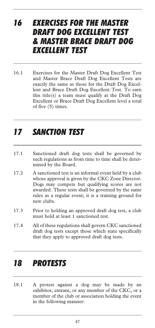### *16 EXERCISES FOR THE MASTER DRAFT DOG EXCELLENT TEST & MASTER BRACE DRAFT DOG EXCELLENT TEST*

16.1 Exercises for the Master Draft Dog Excellent Test and Master Brace Draft Dog Excellent Tests are exactly the same as those for the Draft Dog Excellent and Brace Draft Dog Excellent Test. To earn this title(s) a team must qualify at the Draft Dog Excellent or Brace Draft Dog Excellent level a total of five (5) times.

## *17 SANCTION TEST*

- 17.1 Sanctioned draft dog tests shall be governed by such regulations as from time to time shall be determined by the Board.
- 17.2 A sanctioned test is an informal event held by a club whose approval is given by the CKC Zone Director. Dogs may compete but qualifying scores are not awarded. These tests shall be governed by the same rules as a regular event; it is a training ground for new clubs.
- 17.3 Prior to holding an approved draft dog test, a club must hold at least 1 sanctioned test.
- 17.4 All of these regulations shall govern CKC sanctioned draft dog tests except those which state specifically that they apply to approved draft dog tests.

### *18 PROTESTS*

18.1 A protest against a dog may be made by an exhibitor, entrant, or any member of the CKC, or a member of the club or association holding the event in the following manner: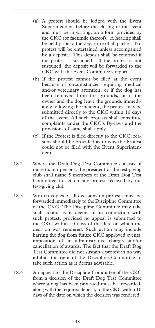- (a) A protest should be lodged with the Event Superintendent before the closing of the event and must be in writing, on a form provided by the CKC (or facsimile thereof). A hearing shall be held prior to the departure of all parties. No protest will be entertained unless accompanied by a deposit. This deposit shall be returned if the protest is sustained. If the protest is not sustained, the deposit will be forwarded to the CKC with the Event Committee's report.
- (b) If the protest cannot be filed at the event because of circumstances requiring medical and/or veterinary attention, or if the dog has been removed from the grounds, or if the owner and the dog leave the grounds immediately following the incident, the protest may be submitted directly to the CKC within 10 days of the event. All such protests shall constitute complaints under the CKC's By-laws and the provisions of same shall apply.
- (c) If the Protest is filed directly to the CKC, reasons should be provided as to why the Protest could not be filed with the Event Superintendent.
- 18.2 Where the Draft Dog Test Committee consists of more than 5 persons, the president of the test-giving club shall name 5 members of the Draft Dog Test Committee to act on any protest received by the test-giving club.
- 18.3 Written copies of all decisions on protests must be forwarded immediately to the Discipline Committee of the CKC. The Discipline Committee may take such action as it deems fit in connection with such protest, provided no appeal is submitted to the CKC within 10 days of the date on which the decision was rendered. Such action may include barring the dog from future CKC approved events, imposition of an administrative charge, and/or cancellation of awards. The fact that the Draft Dog Test Committee did not sustain a protest in no way inhibits the right of the Discipline Committee to take such action as it deems advisable.
- 18.4 An appeal to the Discipline Committee of the CKC from a decision of the Draft Dog Test Committee where a dog has been protested must be forwarded, along with the required deposit, to the CKC within 10 days of the date on which the decision was rendered.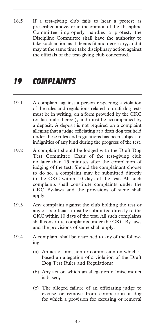18.5 If a test-giving club fails to hear a protest as prescribed above, or in the opinion of the Discipline Committee improperly handles a protest, the Discipline Committee shall have the authority to take such action as it deems fit and necessary, and it may at the same time take disciplinary action against the officials of the test-giving club concerned.

## *19 COMPLAINTS*

- 19.1 A complaint against a person respecting a violation of the rules and regulations related to draft dog tests must be in writing, on a form provided by the CKC (or facsimile thereof), and must be accompanied by a deposit. A deposit is not required on a complaint alleging that a judge officiating at a draft dog test held under these rules and regulations has been subject to indignities of any kind during the progress of the test.
- 19.2 A complaint should be lodged with the Draft Dog Test Committee Chair of the test-giving club no later than 15 minutes after the completion of judging of the test. Should the complainant choose to do so, a complaint may be submitted directly to the CKC within 10 days of the test. All such complaints shall constitute complaints under the CKC By-laws and the provisions of same shall apply.
- 19.3 Any complaint against the club holding the test or any of its officials must be submitted directly to the CKC within 10 days of the test. All such complaints shall constitute complaints under the CKC By-laws and the provisions of same shall apply.
- 19.4 A complaint shall be restricted to any of the following:
	- (a) An act of omission or commission on which is based an allegation of a violation of the Draft Dog Test Rules and Regulations;
	- (b) Any act on which an allegation of misconduct is based;
	- (c) The alleged failure of an officiating judge to excuse or remove from competition a dog for which a provision for excusing or removal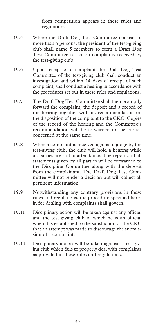from competition appears in these rules and regulations.

- 19.5 Where the Draft Dog Test Committee consists of more than 5 persons, the president of the test-giving club shall name 5 members to form a Draft Dog Test Committee to act on complaints received by the test-giving club.
- 19.6 Upon receipt of a complaint the Draft Dog Test Committee of the test-giving club shall conduct an investigation and within 14 days of receipt of such complaint, shall conduct a hearing in accordance with the procedures set out in these rules and regulations.
- 19.7 The Draft Dog Test Committee shall then promptly forward the complaint, the deposit and a record of the hearing together with its recommendation on the disposition of the complaint to the CKC. Copies of the record of the hearing and the Committee's recommendation will be forwarded to the parties concerned at the same time.
- 19.8 When a complaint is received against a judge by the test-giving club, the club will hold a hearing while all parties are still in attendance. The report and all statements given by all parties will be forwarded to the Discipline Committee along with the deposit from the complainant. The Draft Dog Test Committee will not render a decision but will collect all pertinent information.
- 19.9 Notwithstanding any contrary provisions in these rules and regulations, the procedure specified herein for dealing with complaints shall govern.
- 19.10 Disciplinary action will be taken against any official and the test-giving club of which he is an official when it is established to the satisfaction of the CKC that an attempt was made to discourage the submission of a complaint.
- 19.11 Disciplinary action will be taken against a test-giving club which fails to properly deal with complaints as provided in these rules and regulations.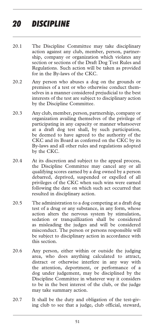## *20 DISCIPLINE*

- 20.1 The Discipline Committee may take disciplinary action against any club, member, person, partnership, company or organization which violates any section or sections of the Draft Dog Test Rules and Regulations. Such action will be taken as provided for in the By-laws of the CKC.
- 20.2 Any person who abuses a dog on the grounds or premises of a test or who otherwise conduct themselves in a manner considered prejudicial to the best interests of the test are subject to disciplinary action by the Discipline Committee.
- 20.3 Any club, member, person, partnership, company or organization availing themselves of the privilege of participating in any capacity or manner whatsoever at a draft dog test shall, by such participation, be deemed to have agreed to the authority of the CKC and its Board as conferred on the CKC by its By-laws and all other rules and regulations adopted by the CKC.
- 20.4 At its discretion and subject to the appeal process, the Discipline Committee may cancel any or all qualifying scores earned by a dog owned by a person debarred, deprived, suspended or expelled of all privileges of the CKC when such wins were earned following the date on which such act occurred that resulted in disciplinary action.
- 20.5 The administration to a dog competing at a draft dog test of a drug or any substance, in any form, whose action alters the nervous system by stimulation, sedation or tranquillization shall be considered as misleading the judges and will be considered misconduct. The person or persons responsible will be subject to disciplinary action in accordance with this section.
- 20.6 Any person, either within or outside the judging area, who does anything calculated to attract, distract or otherwise interfere in any way with the attention, deportment, or performance of a dog under judgement, may be disciplined by the Discipline Committee in whatever way it considers to be in the best interest of the club, or the judge may take summary action.
- 20.7 It shall be the duty and obligation of the test-giving club to see that a judge, club official, steward,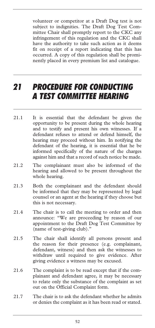volunteer or competitor at a Draft Dog test is not subject to indignities. The Draft Dog Test Committee Chair shall promptly report to the CKC any infringement of this regulation and the CKC shall have the authority to take such action as it deems fit on receipt of a report indicating that this has occurred. A copy of this regulation shall be prominently placed in every premium list and catalogue.

## *21 PROCEDURE FOR CONDUCTING A TEST COMMITTEE HEARING*

- 21.1 It is essential that the defendant be given the opportunity to be present during the whole hearing and to testify and present his own witnesses. If a defendant refuses to attend or defend himself, the hearing may proceed without him. In notifying the defendant of the hearing, it is essential that he be informed specifically of the nature of the charges against him and that a record of such notice be made.
- 21.2 The complainant must also be informed of the hearing and allowed to be present throughout the whole hearing.
- 21.3 Both the complainant and the defendant should be informed that they may be represented by legal counsel or an agent at the hearing if they choose but this is not necessary.
- 21.4 The chair is to call the meeting to order and then announce: "We are proceeding by reason of our appointment to the Draft Dog Test Committee by (name of test-giving club)."
- 21.5 The chair shall identify all persons present and the reason for their presence (e.g. complainant, defendant, witness) and then ask the witnesses to withdraw until required to give evidence. After giving evidence a witness may be excused.
- 21.6 The complaint is to be read except that if the complainant and defendant agree, it may be necessary to relate only the substance of the complaint as set out on the Official Complaint form.
- 21.7 The chair is to ask the defendant whether he admits or denies the complaint as it has been read or stated.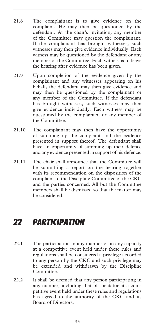- 21.8 The complainant is to give evidence on the complaint. He may then be questioned by the defendant. At the chair's invitation, any member of the Committee may question the complainant. If the complainant has brought witnesses, such witnesses may then give evidence individually. Each witness may be questioned by the defendant or any member of the Committee. Each witness is to leave the hearing after evidence has been given.
- 21.9 Upon completion of the evidence given by the complainant and any witnesses appearing on his behalf, the defendant may then give evidence and may then be questioned by the complainant or any member of the Committee. If the defendant has brought witnesses, such witnesses may then give evidence individually. Each witness may be questioned by the complainant or any member of the Committee.
- 21.10 The complainant may then have the opportunity of summing up the complaint and the evidence presented in support thereof. The defendant shall have an opportunity of summing up their defence and any evidence presented in support of his defence.
- 21.11 The chair shall announce that the Committee will be submitting a report on the hearing together with its recommendation on the disposition of the complaint to the Discipline Committee of the CKC and the parties concerned. All but the Committee members shall be dismissed so that the matter may be considered.

### *22 PARTICIPATION*

- 22.1 The participation in any manner or in any capacity at a competitive event held under these rules and regulations shall be considered a privilege accorded to any person by the CKC and such privilege may be extended and withdrawn by the Discipline Committee.
- 22.2 It shall be deemed that any person participating in any manner, including that of spectator at a competitive event held under these rules and regulations has agreed to the authority of the CKC and its Board of Directors.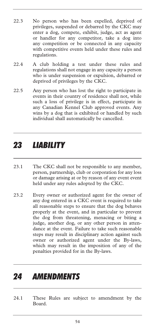- 22.3 No person who has been expelled, deprived of privileges, suspended or debarred by the CKC may enter a dog, compete, exhibit, judge, act as agent or handler for any competitor, take a dog into any competition or be connected in any capacity with competitive events held under these rules and regulations.
- 22.4 A club holding a test under these rules and regulations shall not engage in any capacity a person who is under suspension or expulsion, debarred or deprived of privileges by the CKC.
- 22.5 Any person who has lost the right to participate in events in their country of residence shall not, while such a loss of privilege is in effect, participate in any Canadian Kennel Club approved events. Any wins by a dog that is exhibited or handled by such individual shall automatically be cancelled.

## *23 LIABILITY*

- 23.1 The CKC shall not be responsible to any member, person, partnership, club or corporation for any loss or damage arising at or by reason of any event event held under any rules adopted by the CKC.
- 23.2 Every owner or authorized agent for the owner of any dog entered in a CKC event is required to take all reasonable steps to ensure that the dog behaves properly at the event, and in particular to prevent the dog from threatening, menacing or biting a judge, another dog, or any other person in attendance at the event. Failure to take such reasonable steps may result in disciplinary action against such owner or authorized agent under the By-laws, which may result in the imposition of any of the penalties provided for in the By-laws.

### *24 AMENDMENTS*

24.1 These Rules are subject to amendment by the Board.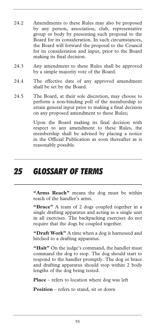- 24.2 Amendments to these Rules may also be proposed by any person, association, club, representative group or body by presenting such proposal to the Board for its consideration. In such circumstances, the Board will forward the proposal to the Council for its consideration and input, prior to the Board making its final decision.
- 24.3 Any amendment to these Rules shall be approved by a simple majority vote of the Board.
- 24.4 The effective date of any approved amendment shall be set by the Board.
- 24.5 The Board, at their sole discretion, may choose to perform a non-binding poll of the membership to attain general input prior to making a final decision on any proposed amendment to these Rules;

Upon the Board making its final decision with respect to any amendment to these Rules, the membership shall be advised by placing a notice in the Official Publication as soon thereafter as is reasonably possible.

## *25 GLOSSARY OF TERMS*

**"Arms Reach"** means the dog must be within reach of the handler's arms.

**"Brace"** A team of 2 dogs coupled together in a single drafting apparatus and acting as a single unit in all exercises. The backpacking exercises do not require that the dogs be coupled together.

**"Draft Work"** A time when a dog is harnessed and hitched to a drafting apparatus.

"Halt" On the judge's command, the handler must command the dog to stop. The dog should start to respond to the handler promptly. The dog or brace and drafting apparatus should stop within 2 body lengths of the dog being tested.

**Place** – refers to location where dog was left

**Position** – refers to stand, sit or down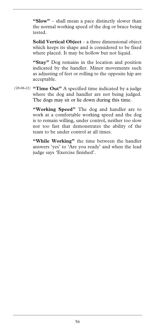**"Slow"** – shall mean a pace distinctly slower than the normal working speed of the dog or brace being tested.

**Solid Vertical Object** – a three dimensional object which keeps its shape and is considered to be fixed where placed. It may be hollow but not liquid.

**"Stay"** Dog remains in the location and position indicated by the handler. Minor movements such as adjusting of feet or rolling to the opposite hip are acceptable.

**"Time Out"** A specified time indicated by a judge *(28-06-21)* where the dog and handler are not being judged. The dogs may sit or lie down during this time.

> **"Working Speed"** The dog and handler are to work at a comfortable working speed and the dog is to remain willing, under control, neither too slow nor too fast that demonstrates the ability of the team to be under control at all times.

> **"While Working"** the time between the handler answers 'yes' to 'Are you ready' and when the lead judge says 'Exercise finished'.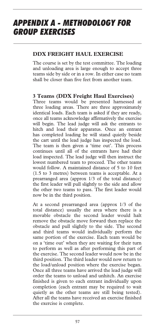## *APPENDIX A - METHODOLOGY FOR GROUP EXERCISES*

### **DDX FREIGHT HAUL EXERCISE**

The course is set by the test committee. The loading and unloading area is large enough to accept three teams side by side or in a row. In either case no team shall be closer than five feet from another team.

### **3 Teams (DDX Freight Haul Exercises)**

Three teams would be presented harnessed at three loading areas. There are three approximately identical loads. Each team is asked if they are ready, once all teams acknowledge affirmatively the exercise will begin. The lead judge will ask the entrants to hitch and load their apparatus. Once an entrant has completed loading he will stand quietly beside the cart until the lead judge has inspected the load. The team is then given a 'time out'. This process continues until all of the entrants have had their load inspected. The lead judge will then instruct the lowest numbered team to proceed. The other teams would follow. A maintained distance of 5 to 10 feet (1.5 to 3 metres) between teams is acceptable. At a prearranged area (approx 1/3 of the total distance) the first leader will pull slightly to the side and allow the other two teams to pass. The first leader would now be in the third position.

At a second prearranged area (approx 1/3 of the total distance) usually the area where there is a movable obstacle the second leader would halt remove the obstacle move forward then replace the obstacle and pull slightly to the side. The second and third teams would individually perform the same portion of the exercise. Each team would be on a 'time out' when they are waiting for their turn to perform as well as after performing this part of the exercise. The second leader would now be in the third position. The third leader would now return to the load/unload position where the exercise began. Once all three teams have arrived the lead judge will order the teams to unload and unhitch. An exercise finished is given to each entrant individually upon completion (each entrant may be required to wait quietly as the other teams are still being tested). After all the teams have received an exercise finished the exercise is complete.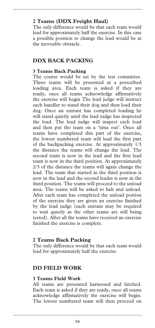### **2 Teams (DDX Freight Haul)**

The only difference would be that each team would lead for approximately half the exercise. In this case a possible position to change the lead would be at the moveable obstacle.

### **DDX BACK PACKING**

### **3 Teams Back Packing**

The course would be set by the test committee. Three teams will be presented at a prescribed loading area. Each team is asked if they are ready, once all teams acknowledge affirmatively the exercise will begin The lead judge will instruct each handler to stand their dog and then load their dog. Once an entrant has completed loading he will stand quietly until the lead judge has inspected the load. The lead judge will inspect each load and then put the team on a 'time out'. Once all teams have completed this part of the exercise, the lowest numbered team will lead the first part of the backpacking exercise. At approximately 1/3 the distance the teams will change the lead. The second team is now in the lead and the first lead team is now in the third position. At approximately 2/3 of the distance the teams will again change the lead. The team that started in the third position is now in the lead and the second leader is now in the third position. The teams will proceed to the unload area. The teams will be asked to halt and unload. After each team has completed the unload portion of the exercise they are given an exercise finished by the lead judge (each entrant may be required to wait quietly as the other teams are still being tested). After all the teams have received an exercise finished the exercise is complete.

### **2 Teams Back Packing**

The only difference would be that each team would lead for approximately half the exercise.

### **DD FIELD WORK**

### **3 Teams Field Work**

All teams are presented harnessed and hitched. Each team is asked if they are ready, once all teams acknowledge affirmatively the exercise will begin. The lowest numbered team will then proceed on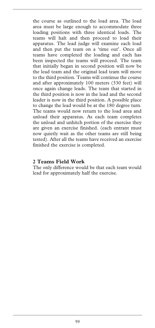the course as outlined to the load area. The load area must be large enough to accommodate three loading positions with three identical loads. The teams will halt and then proceed to load their apparatus. The lead judge will examine each load and then put the team on a 'time out'. Once all teams have completed the loading and each has been inspected the teams will proceed. The team that initially began in second position will now be the lead team and the original lead team will move to the third position. Teams will continue the course and after approximately 100 meters (330 feet) will once again change leads. The team that started in the third position is now in the lead and the second leader is now in the third position. A possible place to change the lead would be at the 180 degree turn. The teams would now return to the load area and unload their apparatus. As each team completes the unload and unhitch portion of the exercise they are given an exercise finished. (each entrant must now quietly wait as the other teams are still being tested). After all the teams have received an exercise finished the exercise is completed.

#### **2 Teams Field Work**

The only difference would be that each team would lead for approximately half the exercise.